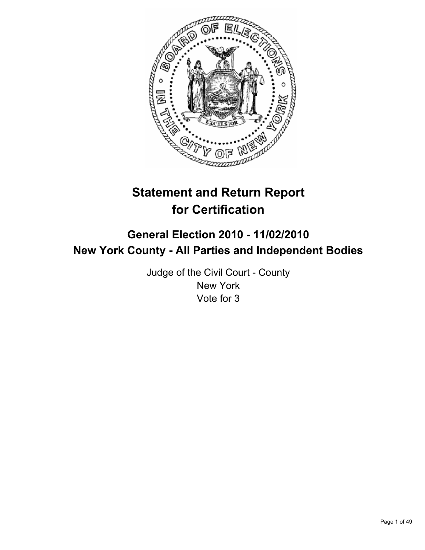

# **Statement and Return Report for Certification**

## **General Election 2010 - 11/02/2010 New York County - All Parties and Independent Bodies**

Judge of the Civil Court - County New York Vote for 3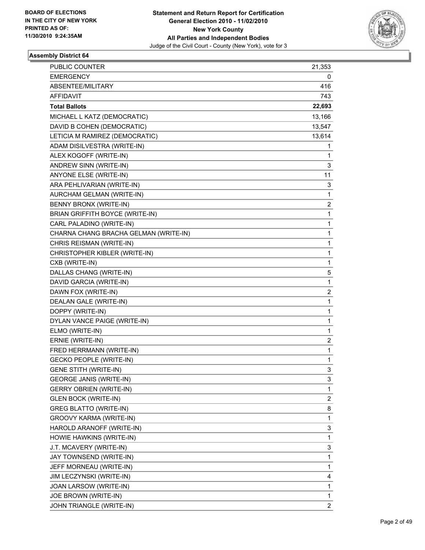

| <b>PUBLIC COUNTER</b>                 | 21,353                  |
|---------------------------------------|-------------------------|
| <b>EMERGENCY</b>                      | 0                       |
| ABSENTEE/MILITARY                     | 416                     |
| <b>AFFIDAVIT</b>                      | 743                     |
| <b>Total Ballots</b>                  | 22,693                  |
| MICHAEL L KATZ (DEMOCRATIC)           | 13,166                  |
| DAVID B COHEN (DEMOCRATIC)            | 13,547                  |
| LETICIA M RAMIREZ (DEMOCRATIC)        | 13,614                  |
| ADAM DISILVESTRA (WRITE-IN)           | 1                       |
| ALEX KOGOFF (WRITE-IN)                | 1                       |
| ANDREW SINN (WRITE-IN)                | 3                       |
| ANYONE ELSE (WRITE-IN)                | 11                      |
| ARA PEHLIVARIAN (WRITE-IN)            | 3                       |
| AURCHAM GELMAN (WRITE-IN)             | 1                       |
| BENNY BRONX (WRITE-IN)                | 2                       |
| BRIAN GRIFFITH BOYCE (WRITE-IN)       | 1                       |
| CARL PALADINO (WRITE-IN)              | 1                       |
| CHARNA CHANG BRACHA GELMAN (WRITE-IN) | 1                       |
| CHRIS REISMAN (WRITE-IN)              | 1                       |
| CHRISTOPHER KIBLER (WRITE-IN)         | 1                       |
| CXB (WRITE-IN)                        | 1                       |
| DALLAS CHANG (WRITE-IN)               | 5                       |
| DAVID GARCIA (WRITE-IN)               | 1                       |
| DAWN FOX (WRITE-IN)                   | 2                       |
| DEALAN GALE (WRITE-IN)                | 1                       |
| DOPPY (WRITE-IN)                      | 1                       |
| DYLAN VANCE PAIGE (WRITE-IN)          | 1                       |
| ELMO (WRITE-IN)                       | 1                       |
| ERNIE (WRITE-IN)                      | 2                       |
| FRED HERRMANN (WRITE-IN)              | 1                       |
| <b>GECKO PEOPLE (WRITE-IN)</b>        | 1                       |
| <b>GENE STITH (WRITE-IN)</b>          | 3                       |
| <b>GEORGE JANIS (WRITE-IN)</b>        | 3                       |
| <b>GERRY OBRIEN (WRITE-IN)</b>        | 1                       |
| <b>GLEN BOCK (WRITE-IN)</b>           | $\overline{\mathbf{c}}$ |
| <b>GREG BLATTO (WRITE-IN)</b>         | 8                       |
| GROOVY KARMA (WRITE-IN)               | 1                       |
| HAROLD ARANOFF (WRITE-IN)             | 3                       |
| HOWIE HAWKINS (WRITE-IN)              | 1                       |
| J.T. MCAVERY (WRITE-IN)               | 3                       |
| JAY TOWNSEND (WRITE-IN)               | 1                       |
| JEFF MORNEAU (WRITE-IN)               | 1                       |
| JIM LECZYNSKI (WRITE-IN)              | 4                       |
| JOAN LARSOW (WRITE-IN)                | 1                       |
| JOE BROWN (WRITE-IN)                  | 1                       |
| JOHN TRIANGLE (WRITE-IN)              | $\overline{2}$          |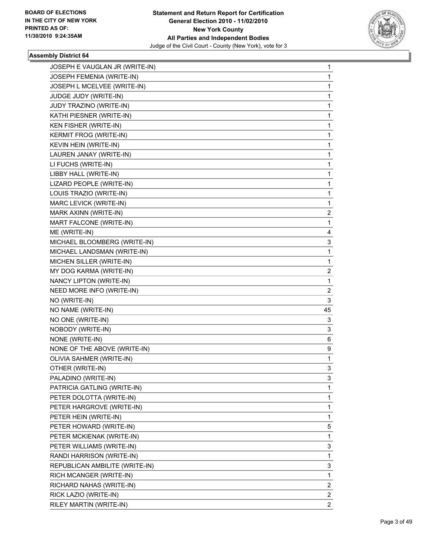

| JOSEPH E VAUGLAN JR (WRITE-IN) | $\mathbf{1}$ |
|--------------------------------|--------------|
| JOSEPH FEMENIA (WRITE-IN)      | 1            |
| JOSEPH L MCELVEE (WRITE-IN)    | 1            |
| JUDGE JUDY (WRITE-IN)          | 1            |
| JUDY TRAZINO (WRITE-IN)        | 1            |
| KATHI PIESNER (WRITE-IN)       | 1            |
| KEN FISHER (WRITE-IN)          | 1            |
| KERMIT FROG (WRITE-IN)         | 1            |
| KEVIN HEIN (WRITE-IN)          | 1            |
| LAUREN JANAY (WRITE-IN)        | 1            |
| LI FUCHS (WRITE-IN)            | 1            |
| LIBBY HALL (WRITE-IN)          | 1            |
| LIZARD PEOPLE (WRITE-IN)       | 1            |
| LOUIS TRAZIO (WRITE-IN)        | 1            |
| MARC LEVICK (WRITE-IN)         | 1            |
| MARK AXINN (WRITE-IN)          | 2            |
| MART FALCONE (WRITE-IN)        | 1            |
| ME (WRITE-IN)                  | 4            |
| MICHAEL BLOOMBERG (WRITE-IN)   | 3            |
| MICHAEL LANDSMAN (WRITE-IN)    | 1            |
| MICHEN SILLER (WRITE-IN)       | 1            |
| MY DOG KARMA (WRITE-IN)        | 2            |
| NANCY LIPTON (WRITE-IN)        | 1            |
| NEED MORE INFO (WRITE-IN)      | 2            |
| NO (WRITE-IN)                  | 3            |
| NO NAME (WRITE-IN)             | 45           |
| NO ONE (WRITE-IN)              | 3            |
| NOBODY (WRITE-IN)              | 3            |
| NONE (WRITE-IN)                | 6            |
| NONE OF THE ABOVE (WRITE-IN)   | 9            |
| OLIVIA SAHMER (WRITE-IN)       | 1            |
| OTHER (WRITE-IN)               | 3            |
| PALADINO (WRITE-IN)            | 3            |
| PATRICIA GATLING (WRITE-IN)    | 1            |
| PETER DOLOTTA (WRITE-IN)       | 1            |
| PETER HARGROVE (WRITE-IN)      | 1            |
| PETER HEIN (WRITE-IN)          | 1            |
| PETER HOWARD (WRITE-IN)        | 5            |
| PETER MCKIENAK (WRITE-IN)      | 1            |
| PETER WILLIAMS (WRITE-IN)      | 3            |
| RANDI HARRISON (WRITE-IN)      | 1            |
| REPUBLICAN AMBILITE (WRITE-IN) | 3            |
| RICH MCANGER (WRITE-IN)        | 1            |
| RICHARD NAHAS (WRITE-IN)       | 2            |
| RICK LAZIO (WRITE-IN)          | $\mathbf{2}$ |
| RILEY MARTIN (WRITE-IN)        | $\mathbf{2}$ |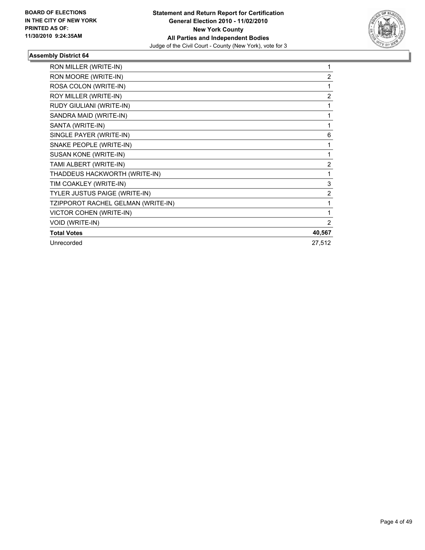

| RON MILLER (WRITE-IN)              | 1              |
|------------------------------------|----------------|
| RON MOORE (WRITE-IN)               | $\overline{2}$ |
| ROSA COLON (WRITE-IN)              | 1              |
| ROY MILLER (WRITE-IN)              | $\overline{2}$ |
| RUDY GIULIANI (WRITE-IN)           | 1              |
| SANDRA MAID (WRITE-IN)             | 1              |
| SANTA (WRITE-IN)                   | 1              |
| SINGLE PAYER (WRITE-IN)            | 6              |
| SNAKE PEOPLE (WRITE-IN)            | 1              |
| SUSAN KONE (WRITE-IN)              | 1              |
| TAMI ALBERT (WRITE-IN)             | $\overline{2}$ |
| THADDEUS HACKWORTH (WRITE-IN)      | 1              |
| TIM COAKLEY (WRITE-IN)             | 3              |
| TYLER JUSTUS PAIGE (WRITE-IN)      | 2              |
| TZIPPOROT RACHEL GELMAN (WRITE-IN) | 1              |
| VICTOR COHEN (WRITE-IN)            | 1              |
| VOID (WRITE-IN)                    | 2              |
| <b>Total Votes</b>                 | 40,567         |
| Unrecorded                         | 27,512         |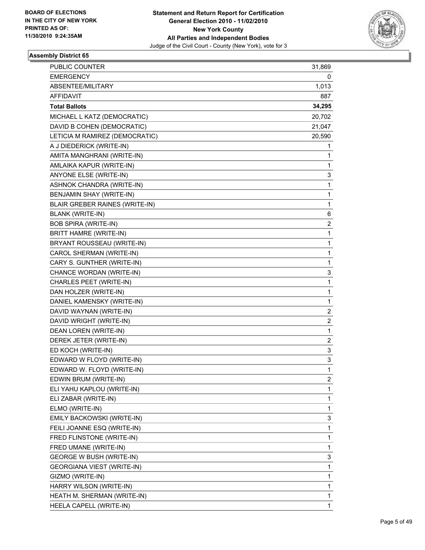

| PUBLIC COUNTER                    | 31,869 |
|-----------------------------------|--------|
| <b>EMERGENCY</b>                  | 0      |
| ABSENTEE/MILITARY                 | 1,013  |
| AFFIDAVIT                         | 887    |
| <b>Total Ballots</b>              | 34,295 |
| MICHAEL L KATZ (DEMOCRATIC)       | 20,702 |
| DAVID B COHEN (DEMOCRATIC)        | 21,047 |
| LETICIA M RAMIREZ (DEMOCRATIC)    | 20,590 |
| A J DIEDERICK (WRITE-IN)          | 1      |
| AMITA MANGHRANI (WRITE-IN)        | 1      |
| AMLAIKA KAPUR (WRITE-IN)          | 1      |
| ANYONE ELSE (WRITE-IN)            | 3      |
| ASHNOK CHANDRA (WRITE-IN)         | 1      |
| BENJAMIN SHAY (WRITE-IN)          | 1      |
| BLAIR GREBER RAINES (WRITE-IN)    | 1      |
| <b>BLANK (WRITE-IN)</b>           | 6      |
| <b>BOB SPIRA (WRITE-IN)</b>       | 2      |
| BRITT HAMRE (WRITE-IN)            | 1      |
| BRYANT ROUSSEAU (WRITE-IN)        | 1      |
| CAROL SHERMAN (WRITE-IN)          | 1      |
| CARY S. GUNTHER (WRITE-IN)        | 1      |
| CHANCE WORDAN (WRITE-IN)          | 3      |
| CHARLES PEET (WRITE-IN)           | 1      |
| DAN HOLZER (WRITE-IN)             | 1      |
| DANIEL KAMENSKY (WRITE-IN)        | 1      |
| DAVID WAYNAN (WRITE-IN)           | 2      |
| DAVID WRIGHT (WRITE-IN)           | 2      |
| DEAN LOREN (WRITE-IN)             | 1      |
| DEREK JETER (WRITE-IN)            | 2      |
| ED KOCH (WRITE-IN)                | 3      |
| EDWARD W FLOYD (WRITE-IN)         | 3      |
| EDWARD W. FLOYD (WRITE-IN)        | 1      |
| EDWIN BRUM (WRITE-IN)             | 2      |
| ELI YAHU KAPLOU (WRITE-IN)        | 1      |
| ELI ZABAR (WRITE-IN)              | 1      |
| ELMO (WRITE-IN)                   | 1      |
| EMILY BACKOWSKI (WRITE-IN)        | 3      |
| FEILI JOANNE ESQ (WRITE-IN)       | 1      |
| FRED FLINSTONE (WRITE-IN)         | 1      |
| FRED UMANE (WRITE-IN)             | 1      |
| GEORGE W BUSH (WRITE-IN)          | 3      |
| <b>GEORGIANA VIEST (WRITE-IN)</b> | 1      |
| GIZMO (WRITE-IN)                  | 1      |
| HARRY WILSON (WRITE-IN)           | 1      |
| HEATH M. SHERMAN (WRITE-IN)       | 1      |
| HEELA CAPELL (WRITE-IN)           | 1      |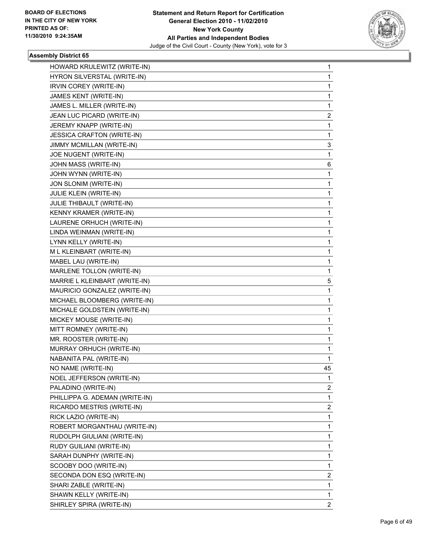

| HOWARD KRULEWITZ (WRITE-IN)       | 1              |
|-----------------------------------|----------------|
| HYRON SILVERSTAL (WRITE-IN)       | 1              |
| IRVIN COREY (WRITE-IN)            | 1              |
| JAMES KENT (WRITE-IN)             | 1              |
| JAMES L. MILLER (WRITE-IN)        | 1              |
| JEAN LUC PICARD (WRITE-IN)        | 2              |
| JEREMY KNAPP (WRITE-IN)           | 1              |
| <b>JESSICA CRAFTON (WRITE-IN)</b> | 1              |
| JIMMY MCMILLAN (WRITE-IN)         | 3              |
| JOE NUGENT (WRITE-IN)             | 1              |
| JOHN MASS (WRITE-IN)              | 6              |
| JOHN WYNN (WRITE-IN)              | 1              |
| JON SLONIM (WRITE-IN)             | 1              |
| <b>JULIE KLEIN (WRITE-IN)</b>     | 1              |
| JULIE THIBAULT (WRITE-IN)         | 1              |
| KENNY KRAMER (WRITE-IN)           | 1              |
| LAURENE ORHUCH (WRITE-IN)         | 1              |
| LINDA WEINMAN (WRITE-IN)          | 1              |
| LYNN KELLY (WRITE-IN)             | 1              |
| M L KLEINBART (WRITE-IN)          | 1              |
| MABEL LAU (WRITE-IN)              | 1              |
| MARLENE TOLLON (WRITE-IN)         | 1              |
| MARRIE L KLEINBART (WRITE-IN)     | 5              |
| MAURICIO GONZALEZ (WRITE-IN)      | 1              |
| MICHAEL BLOOMBERG (WRITE-IN)      | 1              |
| MICHALE GOLDSTEIN (WRITE-IN)      | 1              |
| MICKEY MOUSE (WRITE-IN)           | 1              |
| MITT ROMNEY (WRITE-IN)            | 1              |
| MR. ROOSTER (WRITE-IN)            | 1              |
| MURRAY ORHUCH (WRITE-IN)          | 1              |
| NABANITA PAL (WRITE-IN)           | 1              |
| NO NAME (WRITE-IN)                | 45             |
| NOEL JEFFERSON (WRITE-IN)         | 1              |
| PALADINO (WRITE-IN)               | $\overline{2}$ |
| PHILLIPPA G. ADEMAN (WRITE-IN)    | 1              |
| RICARDO MESTRIS (WRITE-IN)        | 2              |
| RICK LAZIO (WRITE-IN)             | 1              |
| ROBERT MORGANTHAU (WRITE-IN)      | 1              |
| RUDOLPH GIULIANI (WRITE-IN)       | 1              |
| RUDY GUILIANI (WRITE-IN)          | 1              |
| SARAH DUNPHY (WRITE-IN)           | 1              |
| SCOOBY DOO (WRITE-IN)             | 1              |
| SECONDA DON ESQ (WRITE-IN)        | 2              |
| SHARI ZABLE (WRITE-IN)            | 1              |
| SHAWN KELLY (WRITE-IN)            | 1              |
| SHIRLEY SPIRA (WRITE-IN)          | $\overline{2}$ |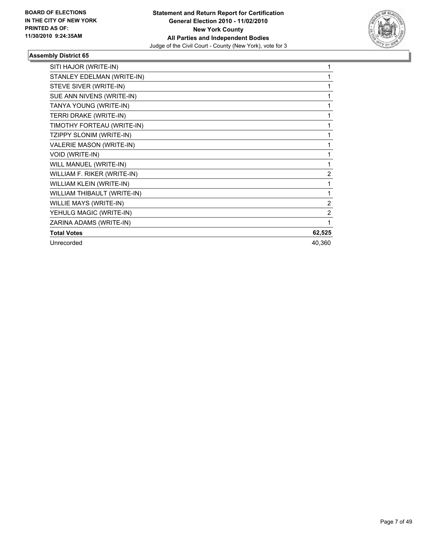

| SITI HAJOR (WRITE-IN)           | 1              |
|---------------------------------|----------------|
| STANLEY EDELMAN (WRITE-IN)      | 1              |
| STEVE SIVER (WRITE-IN)          | 1              |
| SUE ANN NIVENS (WRITE-IN)       | 1              |
| TANYA YOUNG (WRITE-IN)          | 1              |
| TERRI DRAKE (WRITE-IN)          | 1              |
| TIMOTHY FORTEAU (WRITE-IN)      | 1              |
| TZIPPY SLONIM (WRITE-IN)        | 1              |
| <b>VALERIE MASON (WRITE-IN)</b> | 1              |
| <b>VOID (WRITE-IN)</b>          | 1              |
| WILL MANUEL (WRITE-IN)          | 1              |
| WILLIAM F. RIKER (WRITE-IN)     | $\overline{2}$ |
| WILLIAM KLEIN (WRITE-IN)        | 1              |
| WILLIAM THIBAULT (WRITE-IN)     | 1              |
| <b>WILLIE MAYS (WRITE-IN)</b>   | $\overline{2}$ |
| YEHULG MAGIC (WRITE-IN)         | $\overline{2}$ |
| ZARINA ADAMS (WRITE-IN)         | 1              |
| <b>Total Votes</b>              | 62,525         |
| Unrecorded                      | 40,360         |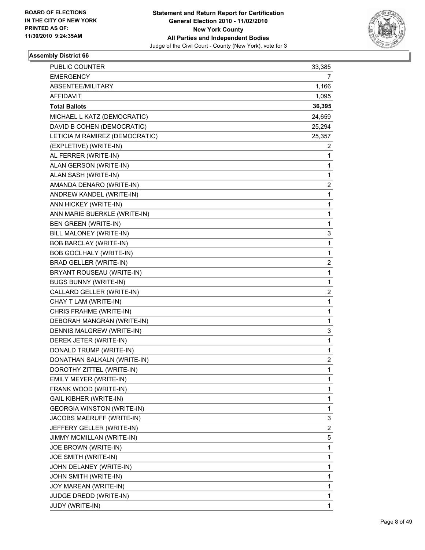

| <b>PUBLIC COUNTER</b>             | 33,385 |
|-----------------------------------|--------|
| <b>EMERGENCY</b>                  | 7      |
| ABSENTEE/MILITARY                 | 1,166  |
| AFFIDAVIT                         | 1,095  |
| <b>Total Ballots</b>              | 36,395 |
| MICHAEL L KATZ (DEMOCRATIC)       | 24,659 |
| DAVID B COHEN (DEMOCRATIC)        | 25,294 |
| LETICIA M RAMIREZ (DEMOCRATIC)    | 25,357 |
| (EXPLETIVE) (WRITE-IN)            | 2      |
| AL FERRER (WRITE-IN)              | 1      |
| ALAN GERSON (WRITE-IN)            | 1      |
| ALAN SASH (WRITE-IN)              | 1      |
| AMANDA DENARO (WRITE-IN)          | 2      |
| ANDREW KANDEL (WRITE-IN)          | 1      |
| ANN HICKEY (WRITE-IN)             | 1      |
| ANN MARIE BUERKLE (WRITE-IN)      | 1      |
| <b>BEN GREEN (WRITE-IN)</b>       | 1      |
| BILL MALONEY (WRITE-IN)           | 3      |
| <b>BOB BARCLAY (WRITE-IN)</b>     | 1      |
| <b>BOB GOCLHALY (WRITE-IN)</b>    | 1      |
| BRAD GELLER (WRITE-IN)            | 2      |
| BRYANT ROUSEAU (WRITE-IN)         | 1      |
| <b>BUGS BUNNY (WRITE-IN)</b>      | 1      |
| CALLARD GELLER (WRITE-IN)         | 2      |
| CHAY T LAM (WRITE-IN)             | 1      |
| CHRIS FRAHME (WRITE-IN)           | 1      |
| DEBORAH MANGRAN (WRITE-IN)        | 1      |
| DENNIS MALGREW (WRITE-IN)         | 3      |
| DEREK JETER (WRITE-IN)            | 1      |
| DONALD TRUMP (WRITE-IN)           | 1      |
| DONATHAN SALKALN (WRITE-IN)       | 2      |
| DOROTHY ZITTEL (WRITE-IN)         | 1      |
| EMILY MEYER (WRITE-IN)            | 1      |
| FRANK WOOD (WRITE-IN)             | 1      |
| <b>GAIL KIBHER (WRITE-IN)</b>     | 1      |
| <b>GEORGIA WINSTON (WRITE-IN)</b> | 1      |
| JACOBS MAERUFF (WRITE-IN)         | 3      |
| JEFFERY GELLER (WRITE-IN)         | 2      |
| JIMMY MCMILLAN (WRITE-IN)         | 5      |
| JOE BROWN (WRITE-IN)              | 1      |
| JOE SMITH (WRITE-IN)              | 1      |
| JOHN DELANEY (WRITE-IN)           | 1      |
| JOHN SMITH (WRITE-IN)             | 1      |
| JOY MAREAN (WRITE-IN)             | 1      |
| JUDGE DREDD (WRITE-IN)            | 1      |
| JUDY (WRITE-IN)                   | 1      |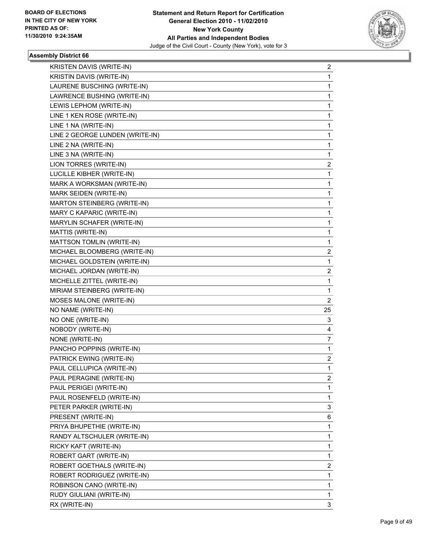

| KRISTEN DAVIS (WRITE-IN)        | 2              |
|---------------------------------|----------------|
| KRISTIN DAVIS (WRITE-IN)        | 1              |
| LAURENE BUSCHING (WRITE-IN)     | 1              |
| LAWRENCE BUSHING (WRITE-IN)     | 1              |
| LEWIS LEPHOM (WRITE-IN)         | 1              |
| LINE 1 KEN ROSE (WRITE-IN)      | 1              |
| LINE 1 NA (WRITE-IN)            | 1              |
| LINE 2 GEORGE LUNDEN (WRITE-IN) | 1              |
| LINE 2 NA (WRITE-IN)            | 1              |
| LINE 3 NA (WRITE-IN)            | 1              |
| LION TORRES (WRITE-IN)          | 2              |
| LUCILLE KIBHER (WRITE-IN)       | 1              |
| MARK A WORKSMAN (WRITE-IN)      | 1              |
| MARK SEIDEN (WRITE-IN)          | 1              |
| MARTON STEINBERG (WRITE-IN)     | 1              |
| MARY C KAPARIC (WRITE-IN)       | 1              |
| MARYLIN SCHAFER (WRITE-IN)      | 1              |
| MATTIS (WRITE-IN)               | $\mathbf 1$    |
| MATTSON TOMLIN (WRITE-IN)       | 1              |
| MICHAEL BLOOMBERG (WRITE-IN)    | 2              |
| MICHAEL GOLDSTEIN (WRITE-IN)    | 1              |
| MICHAEL JORDAN (WRITE-IN)       | 2              |
| MICHELLE ZITTEL (WRITE-IN)      | 1              |
| MIRIAM STEINBERG (WRITE-IN)     | 1              |
| MOSES MALONE (WRITE-IN)         | $\overline{2}$ |
| NO NAME (WRITE-IN)              | 25             |
| NO ONE (WRITE-IN)               | 3              |
| NOBODY (WRITE-IN)               | 4              |
| NONE (WRITE-IN)                 | 7              |
| PANCHO POPPINS (WRITE-IN)       | $\mathbf 1$    |
| PATRICK EWING (WRITE-IN)        | $\mathbf{2}$   |
| PAUL CELLUPICA (WRITE-IN)       | 1              |
| PAUL PERAGINE (WRITE-IN)        | 2              |
| PAUL PERIGEI (WRITE-IN)         | 1              |
| PAUL ROSENFELD (WRITE-IN)       | 1              |
| PETER PARKER (WRITE-IN)         | 3              |
| PRESENT (WRITE-IN)              | 6              |
| PRIYA BHUPETHIE (WRITE-IN)      | 1              |
| RANDY ALTSCHULER (WRITE-IN)     | 1              |
| RICKY KAFT (WRITE-IN)           | 1              |
| ROBERT GART (WRITE-IN)          | 1              |
| ROBERT GOETHALS (WRITE-IN)      | $\overline{c}$ |
| ROBERT RODRIGUEZ (WRITE-IN)     | 1              |
| ROBINSON CANO (WRITE-IN)        | 1              |
| RUDY GIULIANI (WRITE-IN)        | $\mathbf 1$    |
| RX (WRITE-IN)                   | 3              |
|                                 |                |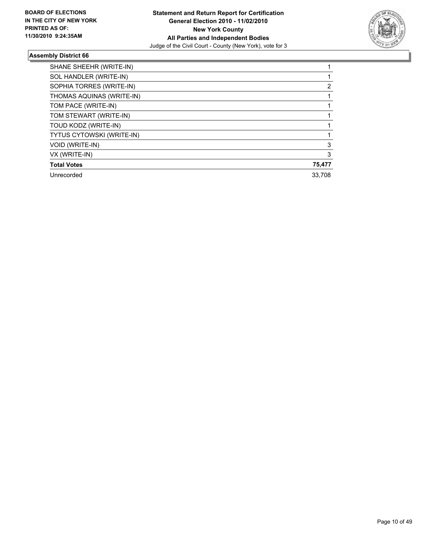

| SHANE SHEEHR (WRITE-IN)   |        |
|---------------------------|--------|
| SOL HANDLER (WRITE-IN)    |        |
| SOPHIA TORRES (WRITE-IN)  | 2      |
| THOMAS AQUINAS (WRITE-IN) |        |
| TOM PACE (WRITE-IN)       |        |
| TOM STEWART (WRITE-IN)    |        |
| TOUD KODZ (WRITE-IN)      |        |
| TYTUS CYTOWSKI (WRITE-IN) |        |
| <b>VOID (WRITE-IN)</b>    | 3      |
| VX (WRITE-IN)             | 3      |
| <b>Total Votes</b>        | 75,477 |
| Unrecorded                | 33,708 |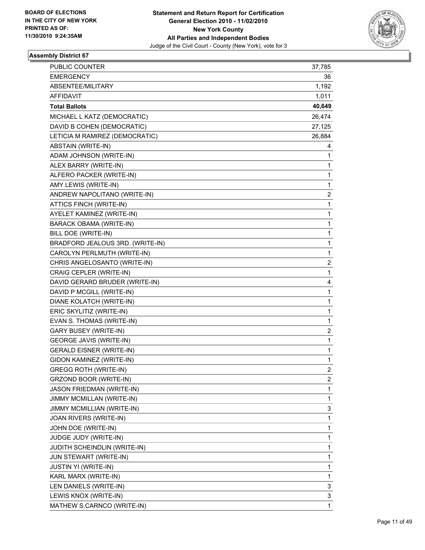

| PUBLIC COUNTER                   | 37,785         |
|----------------------------------|----------------|
| <b>EMERGENCY</b>                 | 36             |
| ABSENTEE/MILITARY                | 1,192          |
| AFFIDAVIT                        | 1,011          |
| <b>Total Ballots</b>             | 40,649         |
| MICHAEL L KATZ (DEMOCRATIC)      | 26,474         |
| DAVID B COHEN (DEMOCRATIC)       | 27,125         |
| LETICIA M RAMIREZ (DEMOCRATIC)   | 26,884         |
| <b>ABSTAIN (WRITE-IN)</b>        | 4              |
| ADAM JOHNSON (WRITE-IN)          | 1              |
| ALEX BARRY (WRITE-IN)            | 1              |
| ALFERO PACKER (WRITE-IN)         | 1              |
| AMY LEWIS (WRITE-IN)             | 1              |
| ANDREW NAPOLITANO (WRITE-IN)     | 2              |
| ATTICS FINCH (WRITE-IN)          | 1              |
| AYELET KAMINEZ (WRITE-IN)        | 1              |
| BARACK OBAMA (WRITE-IN)          | 1              |
| BILL DOE (WRITE-IN)              | 1              |
| BRADFORD JEALOUS 3RD. (WRITE-IN) | 1              |
| CAROLYN PERLMUTH (WRITE-IN)      | 1              |
| CHRIS ANGELOSANTO (WRITE-IN)     | 2              |
| CRAIG CEPLER (WRITE-IN)          | 1              |
| DAVID GERARD BRUDER (WRITE-IN)   | 4              |
| DAVID P MCGILL (WRITE-IN)        | 1              |
| DIANE KOLATCH (WRITE-IN)         | 1              |
| ERIC SKYLITIZ (WRITE-IN)         | 1              |
| EVAN S. THOMAS (WRITE-IN)        | 1              |
| <b>GARY BUSEY (WRITE-IN)</b>     | 2              |
| <b>GEORGE JAVIS (WRITE-IN)</b>   | 1              |
| <b>GERALD EISNER (WRITE-IN)</b>  | 1              |
| GIDON KAMINEZ (WRITE-IN)         | 1              |
| <b>GREGG ROTH (WRITE-IN)</b>     | $\overline{2}$ |
| GRZOND BOOR (WRITE-IN)           | 2              |
| <b>JASON FRIEDMAN (WRITE-IN)</b> | 1              |
| <b>JIMMY MCMILLAN (WRITE-IN)</b> | 1              |
| JIMMY MCMILLIAN (WRITE-IN)       | 3              |
| JOAN RIVERS (WRITE-IN)           | 1              |
| JOHN DOE (WRITE-IN)              | 1              |
| JUDGE JUDY (WRITE-IN)            | 1              |
| JUDITH SCHEINDLIN (WRITE-IN)     | 1              |
| JUN STEWART (WRITE-IN)           | 1              |
| <b>JUSTIN YI (WRITE-IN)</b>      | 1              |
| KARL MARX (WRITE-IN)             | 1              |
| LEN DANIELS (WRITE-IN)           | 3              |
| LEWIS KNOX (WRITE-IN)            | 3              |
| MATHEW S.CARNCO (WRITE-IN)       | 1              |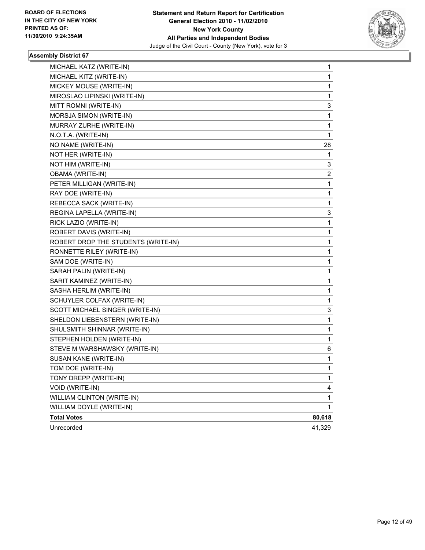

| MICHAEL KATZ (WRITE-IN)             | 1            |
|-------------------------------------|--------------|
| MICHAEL KITZ (WRITE-IN)             | 1            |
| MICKEY MOUSE (WRITE-IN)             | 1            |
| MIROSLAO LIPINSKI (WRITE-IN)        | 1            |
| MITT ROMNI (WRITE-IN)               | 3            |
| MORSJA SIMON (WRITE-IN)             | 1            |
| MURRAY ZURHE (WRITE-IN)             | 1            |
| N.O.T.A. (WRITE-IN)                 | 1            |
| NO NAME (WRITE-IN)                  | 28           |
| NOT HER (WRITE-IN)                  | 1            |
| NOT HIM (WRITE-IN)                  | 3            |
| OBAMA (WRITE-IN)                    | 2            |
| PETER MILLIGAN (WRITE-IN)           | 1            |
| RAY DOE (WRITE-IN)                  | 1            |
| REBECCA SACK (WRITE-IN)             | 1            |
| REGINA LAPELLA (WRITE-IN)           | 3            |
| RICK LAZIO (WRITE-IN)               | 1            |
| ROBERT DAVIS (WRITE-IN)             | 1            |
| ROBERT DROP THE STUDENTS (WRITE-IN) | 1            |
| RONNETTE RILEY (WRITE-IN)           | 1            |
| SAM DOE (WRITE-IN)                  | 1            |
| SARAH PALIN (WRITE-IN)              | 1            |
| SARIT KAMINEZ (WRITE-IN)            | 1            |
| SASHA HERLIM (WRITE-IN)             | 1            |
| SCHUYLER COLFAX (WRITE-IN)          | 1            |
| SCOTT MICHAEL SINGER (WRITE-IN)     | 3            |
| SHELDON LIEBENSTERN (WRITE-IN)      | 1            |
| SHULSMITH SHINNAR (WRITE-IN)        | 1            |
| STEPHEN HOLDEN (WRITE-IN)           | 1            |
| STEVE M WARSHAWSKY (WRITE-IN)       | 6            |
| SUSAN KANE (WRITE-IN)               | 1            |
| TOM DOE (WRITE-IN)                  | 1            |
| TONY DREPP (WRITE-IN)               | 1            |
| VOID (WRITE-IN)                     | 4            |
| WILLIAM CLINTON (WRITE-IN)          | 1            |
| WILLIAM DOYLE (WRITE-IN)            | $\mathbf{1}$ |
| <b>Total Votes</b>                  | 80,618       |
| Unrecorded                          | 41,329       |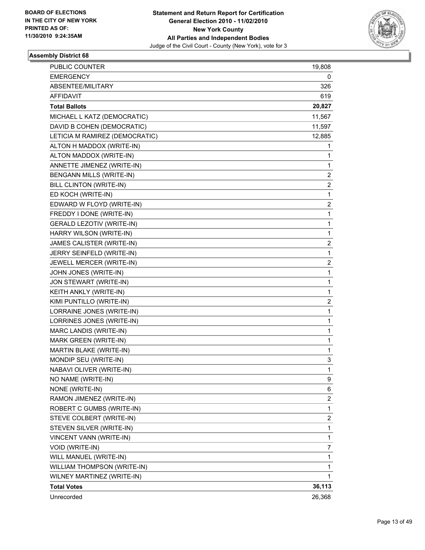

| PUBLIC COUNTER                   | 19,808                  |
|----------------------------------|-------------------------|
| <b>EMERGENCY</b>                 | 0                       |
| ABSENTEE/MILITARY                | 326                     |
| AFFIDAVIT                        | 619                     |
| <b>Total Ballots</b>             | 20,827                  |
| MICHAEL L KATZ (DEMOCRATIC)      | 11,567                  |
| DAVID B COHEN (DEMOCRATIC)       | 11,597                  |
| LETICIA M RAMIREZ (DEMOCRATIC)   | 12,885                  |
| ALTON H MADDOX (WRITE-IN)        | 1                       |
| ALTON MADDOX (WRITE-IN)          | 1                       |
| ANNETTE JIMENEZ (WRITE-IN)       | 1                       |
| BENGANN MILLS (WRITE-IN)         | 2                       |
| BILL CLINTON (WRITE-IN)          | $\overline{\mathbf{c}}$ |
| ED KOCH (WRITE-IN)               | 1                       |
| EDWARD W FLOYD (WRITE-IN)        | 2                       |
| FREDDY I DONE (WRITE-IN)         | 1                       |
| <b>GERALD LEZOTIV (WRITE-IN)</b> | 1                       |
| HARRY WILSON (WRITE-IN)          | 1                       |
| JAMES CALISTER (WRITE-IN)        | $\overline{\mathbf{c}}$ |
| JERRY SEINFELD (WRITE-IN)        | 1                       |
| JEWELL MERCER (WRITE-IN)         | 2                       |
| JOHN JONES (WRITE-IN)            | 1                       |
| JON STEWART (WRITE-IN)           | 1                       |
| KEITH ANKLY (WRITE-IN)           | 1                       |
| KIMI PUNTILLO (WRITE-IN)         | $\overline{\mathbf{c}}$ |
| LORRAINE JONES (WRITE-IN)        | 1                       |
| LORRINES JONES (WRITE-IN)        | 1                       |
| MARC LANDIS (WRITE-IN)           | 1                       |
| MARK GREEN (WRITE-IN)            | 1                       |
| MARTIN BLAKE (WRITE-IN)          | 1                       |
| MONDIP SEU (WRITE-IN)            | 3                       |
| NABAVI OLIVER (WRITE-IN)         | 1                       |
| NO NAME (WRITE-IN)               | 9                       |
| NONE (WRITE-IN)                  | 6                       |
| RAMON JIMENEZ (WRITE-IN)         | $\overline{\mathbf{c}}$ |
| ROBERT C GUMBS (WRITE-IN)        | 1                       |
| STEVE COLBERT (WRITE-IN)         | 2                       |
| STEVEN SILVER (WRITE-IN)         | 1                       |
| VINCENT VANN (WRITE-IN)          | 1                       |
| VOID (WRITE-IN)                  | 7                       |
| WILL MANUEL (WRITE-IN)           | 1                       |
| WILLIAM THOMPSON (WRITE-IN)      | 1                       |
| WILNEY MARTINEZ (WRITE-IN)       | $\mathbf{1}$            |
| <b>Total Votes</b>               | 36,113                  |
| Unrecorded                       | 26,368                  |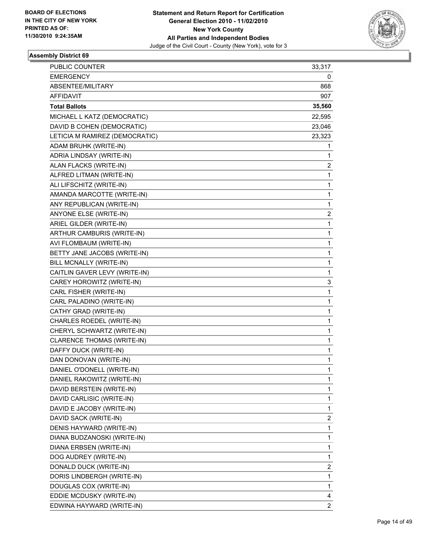

| PUBLIC COUNTER                 | 33,317 |
|--------------------------------|--------|
| <b>EMERGENCY</b>               | 0      |
| ABSENTEE/MILITARY              | 868    |
| <b>AFFIDAVIT</b>               | 907    |
| <b>Total Ballots</b>           | 35,560 |
| MICHAEL L KATZ (DEMOCRATIC)    | 22,595 |
| DAVID B COHEN (DEMOCRATIC)     | 23,046 |
| LETICIA M RAMIREZ (DEMOCRATIC) | 23,323 |
| ADAM BRUHK (WRITE-IN)          | 1      |
| ADRIA LINDSAY (WRITE-IN)       | 1      |
| ALAN FLACKS (WRITE-IN)         | 2      |
| ALFRED LITMAN (WRITE-IN)       | 1      |
| ALI LIFSCHITZ (WRITE-IN)       | 1      |
| AMANDA MARCOTTE (WRITE-IN)     | 1      |
| ANY REPUBLICAN (WRITE-IN)      | 1      |
| ANYONE ELSE (WRITE-IN)         | 2      |
| ARIEL GILDER (WRITE-IN)        | 1      |
| ARTHUR CAMBURIS (WRITE-IN)     | 1      |
| AVI FLOMBAUM (WRITE-IN)        | 1      |
| BETTY JANE JACOBS (WRITE-IN)   | 1      |
| BILL MCNALLY (WRITE-IN)        | 1      |
| CAITLIN GAVER LEVY (WRITE-IN)  | 1      |
| CAREY HOROWITZ (WRITE-IN)      | 3      |
| CARL FISHER (WRITE-IN)         | 1      |
| CARL PALADINO (WRITE-IN)       | 1      |
| CATHY GRAD (WRITE-IN)          | 1      |
| CHARLES ROEDEL (WRITE-IN)      | 1      |
| CHERYL SCHWARTZ (WRITE-IN)     | 1      |
| CLARENCE THOMAS (WRITE-IN)     | 1      |
| DAFFY DUCK (WRITE-IN)          | 1      |
| DAN DONOVAN (WRITE-IN)         | 1      |
| DANIEL O'DONELL (WRITE-IN)     | 1      |
| DANIEL RAKOWITZ (WRITE-IN)     | 1      |
| DAVID BERSTEIN (WRITE-IN)      | 1      |
| DAVID CARLISIC (WRITE-IN)      | 1      |
| DAVID E JACOBY (WRITE-IN)      | 1      |
| DAVID SACK (WRITE-IN)          | 2      |
| DENIS HAYWARD (WRITE-IN)       | 1      |
| DIANA BUDZANOSKI (WRITE-IN)    | 1      |
| DIANA ERBSEN (WRITE-IN)        | 1      |
| DOG AUDREY (WRITE-IN)          | 1      |
| DONALD DUCK (WRITE-IN)         | 2      |
| DORIS LINDBERGH (WRITE-IN)     | 1      |
| DOUGLAS COX (WRITE-IN)         | 1      |
| EDDIE MCDUSKY (WRITE-IN)       | 4      |
| EDWINA HAYWARD (WRITE-IN)      | 2      |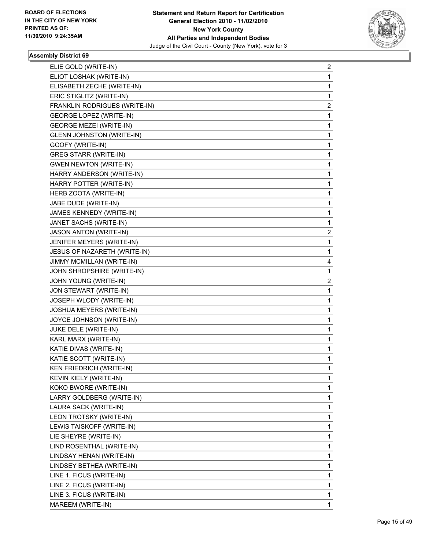

| ELIE GOLD (WRITE-IN)             | 2 |
|----------------------------------|---|
| ELIOT LOSHAK (WRITE-IN)          | 1 |
| ELISABETH ZECHE (WRITE-IN)       | 1 |
| ERIC STIGLITZ (WRITE-IN)         | 1 |
| FRANKLIN RODRIGUES (WRITE-IN)    | 2 |
| <b>GEORGE LOPEZ (WRITE-IN)</b>   | 1 |
| <b>GEORGE MEZEI (WRITE-IN)</b>   | 1 |
| <b>GLENN JOHNSTON (WRITE-IN)</b> | 1 |
| GOOFY (WRITE-IN)                 | 1 |
| <b>GREG STARR (WRITE-IN)</b>     | 1 |
| <b>GWEN NEWTON (WRITE-IN)</b>    | 1 |
| HARRY ANDERSON (WRITE-IN)        | 1 |
| HARRY POTTER (WRITE-IN)          | 1 |
| HERB ZOOTA (WRITE-IN)            | 1 |
| JABE DUDE (WRITE-IN)             | 1 |
| JAMES KENNEDY (WRITE-IN)         | 1 |
| JANET SACHS (WRITE-IN)           | 1 |
| JASON ANTON (WRITE-IN)           | 2 |
| JENIFER MEYERS (WRITE-IN)        | 1 |
| JESUS OF NAZARETH (WRITE-IN)     | 1 |
| JIMMY MCMILLAN (WRITE-IN)        | 4 |
| JOHN SHROPSHIRE (WRITE-IN)       | 1 |
| JOHN YOUNG (WRITE-IN)            | 2 |
| JON STEWART (WRITE-IN)           | 1 |
| JOSEPH WLODY (WRITE-IN)          | 1 |
| JOSHUA MEYERS (WRITE-IN)         | 1 |
| JOYCE JOHNSON (WRITE-IN)         | 1 |
| JUKE DELE (WRITE-IN)             | 1 |
| KARL MARX (WRITE-IN)             | 1 |
| KATIE DIVAS (WRITE-IN)           | 1 |
| KATIE SCOTT (WRITE-IN)           | 1 |
| <b>KEN FRIEDRICH (WRITE-IN)</b>  | 1 |
| KEVIN KIELY (WRITE-IN)           | 1 |
| KOKO BWORE (WRITE-IN)            | 1 |
| LARRY GOLDBERG (WRITE-IN)        | 1 |
| LAURA SACK (WRITE-IN)            | 1 |
| LEON TROTSKY (WRITE-IN)          | 1 |
| LEWIS TAISKOFF (WRITE-IN)        | 1 |
| LIE SHEYRE (WRITE-IN)            | 1 |
| LIND ROSENTHAL (WRITE-IN)        | 1 |
| LINDSAY HENAN (WRITE-IN)         | 1 |
| LINDSEY BETHEA (WRITE-IN)        | 1 |
| LINE 1. FICUS (WRITE-IN)         | 1 |
| LINE 2. FICUS (WRITE-IN)         | 1 |
| LINE 3. FICUS (WRITE-IN)         | 1 |
| MAREEM (WRITE-IN)                | 1 |
|                                  |   |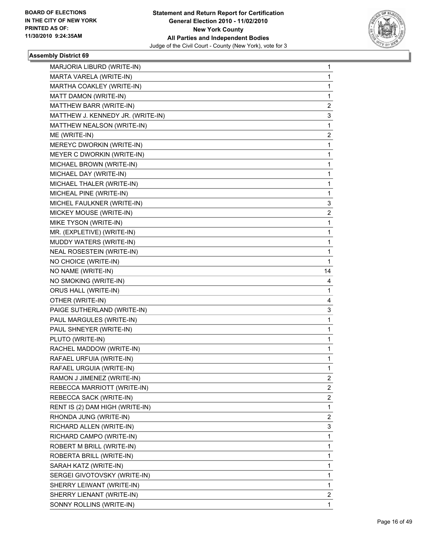

| MARJORIA LIBURD (WRITE-IN)        | 1              |
|-----------------------------------|----------------|
| MARTA VARELA (WRITE-IN)           | 1              |
| MARTHA COAKLEY (WRITE-IN)         | 1              |
| MATT DAMON (WRITE-IN)             | 1              |
| MATTHEW BARR (WRITE-IN)           | 2              |
| MATTHEW J. KENNEDY JR. (WRITE-IN) | 3              |
| MATTHEW NEALSON (WRITE-IN)        | 1              |
| ME (WRITE-IN)                     | 2              |
| MEREYC DWORKIN (WRITE-IN)         | 1              |
| MEYER C DWORKIN (WRITE-IN)        | 1              |
| MICHAEL BROWN (WRITE-IN)          | 1              |
| MICHAEL DAY (WRITE-IN)            | 1              |
| MICHAEL THALER (WRITE-IN)         | 1              |
| MICHEAL PINE (WRITE-IN)           | 1              |
| MICHEL FAULKNER (WRITE-IN)        | 3              |
| MICKEY MOUSE (WRITE-IN)           | 2              |
| MIKE TYSON (WRITE-IN)             | 1              |
| MR. (EXPLETIVE) (WRITE-IN)        | 1              |
| MUDDY WATERS (WRITE-IN)           | 1              |
| NEAL ROSESTEIN (WRITE-IN)         | 1              |
| NO CHOICE (WRITE-IN)              | 1              |
| NO NAME (WRITE-IN)                | 14             |
| NO SMOKING (WRITE-IN)             | 4              |
|                                   |                |
| ORUS HALL (WRITE-IN)              | 1              |
| OTHER (WRITE-IN)                  | 4              |
| PAIGE SUTHERLAND (WRITE-IN)       | 3              |
| PAUL MARGULES (WRITE-IN)          | 1              |
| PAUL SHNEYER (WRITE-IN)           | 1              |
| PLUTO (WRITE-IN)                  | 1              |
| RACHEL MADDOW (WRITE-IN)          | 1              |
| RAFAEL URFUIA (WRITE-IN)          | 1              |
| RAFAEL URGUIA (WRITE-IN)          | 1              |
| RAMON J JIMENEZ (WRITE-IN)        | 2              |
| REBECCA MARRIOTT (WRITE-IN)       | $\mathbf{2}$   |
| REBECCA SACK (WRITE-IN)           | $\overline{2}$ |
| RENT IS (2) DAM HIGH (WRITE-IN)   | 1              |
| RHONDA JUNG (WRITE-IN)            | 2              |
| RICHARD ALLEN (WRITE-IN)          | 3              |
| RICHARD CAMPO (WRITE-IN)          | 1              |
| ROBERT M BRILL (WRITE-IN)         | 1              |
| ROBERTA BRILL (WRITE-IN)          | 1              |
| SARAH KATZ (WRITE-IN)             | 1              |
| SERGEI GIVOTOVSKY (WRITE-IN)      | 1              |
| SHERRY LEIWANT (WRITE-IN)         | 1              |
| SHERRY LIENANT (WRITE-IN)         | $\overline{2}$ |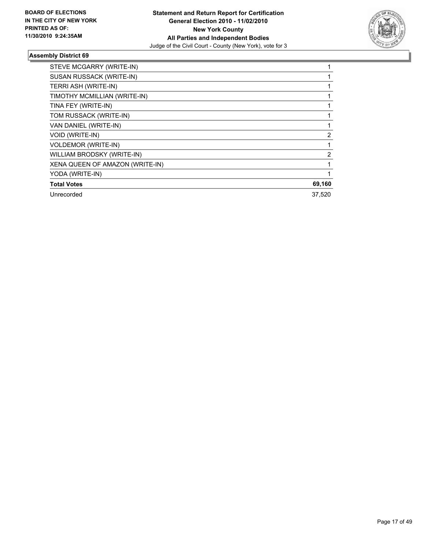

| STEVE MCGARRY (WRITE-IN)        |              |
|---------------------------------|--------------|
| SUSAN RUSSACK (WRITE-IN)        |              |
| TERRI ASH (WRITE-IN)            |              |
| TIMOTHY MCMILLIAN (WRITE-IN)    |              |
| TINA FEY (WRITE-IN)             |              |
| TOM RUSSACK (WRITE-IN)          |              |
| VAN DANIEL (WRITE-IN)           |              |
| VOID (WRITE-IN)                 | 2            |
| <b>VOLDEMOR (WRITE-IN)</b>      | 1            |
| WILLIAM BRODSKY (WRITE-IN)      | 2            |
| XENA QUEEN OF AMAZON (WRITE-IN) | $\mathbf{1}$ |
| YODA (WRITE-IN)                 |              |
| <b>Total Votes</b>              | 69,160       |
| Unrecorded                      | 37,520       |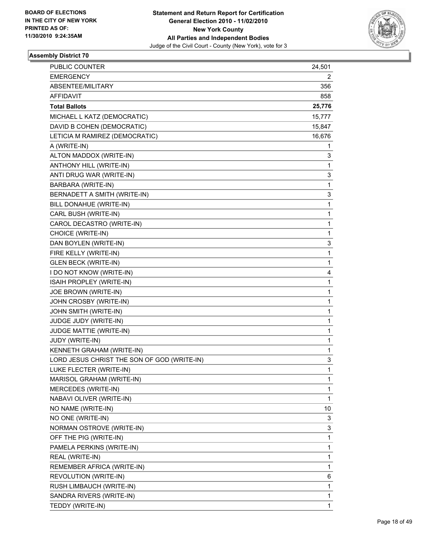

| <b>PUBLIC COUNTER</b>                       | 24,501       |
|---------------------------------------------|--------------|
| <b>EMERGENCY</b>                            | 2            |
| ABSENTEE/MILITARY                           | 356          |
| AFFIDAVIT                                   | 858          |
| <b>Total Ballots</b>                        | 25,776       |
| MICHAEL L KATZ (DEMOCRATIC)                 | 15,777       |
| DAVID B COHEN (DEMOCRATIC)                  | 15,847       |
| LETICIA M RAMIREZ (DEMOCRATIC)              | 16,676       |
| A (WRITE-IN)                                | 1            |
| ALTON MADDOX (WRITE-IN)                     | 3            |
| ANTHONY HILL (WRITE-IN)                     | 1            |
| ANTI DRUG WAR (WRITE-IN)                    | 3            |
| BARBARA (WRITE-IN)                          | 1            |
| BERNADETT A SMITH (WRITE-IN)                | 3            |
| BILL DONAHUE (WRITE-IN)                     | 1            |
| CARL BUSH (WRITE-IN)                        | 1            |
| CAROL DECASTRO (WRITE-IN)                   | 1            |
| CHOICE (WRITE-IN)                           | 1            |
| DAN BOYLEN (WRITE-IN)                       | 3            |
| FIRE KELLY (WRITE-IN)                       | $\mathbf{1}$ |
| <b>GLEN BECK (WRITE-IN)</b>                 | 1            |
| I DO NOT KNOW (WRITE-IN)                    | 4            |
| ISAIH PROPLEY (WRITE-IN)                    | 1            |
| JOE BROWN (WRITE-IN)                        | 1            |
| JOHN CROSBY (WRITE-IN)                      | 1            |
| JOHN SMITH (WRITE-IN)                       | 1            |
| JUDGE JUDY (WRITE-IN)                       | 1            |
| JUDGE MATTIE (WRITE-IN)                     | 1            |
| JUDY (WRITE-IN)                             | 1            |
| KENNETH GRAHAM (WRITE-IN)                   | 1            |
| LORD JESUS CHRIST THE SON OF GOD (WRITE-IN) | 3            |
| LUKE FLECTER (WRITE-IN)                     | 1            |
| MARISOL GRAHAM (WRITE-IN)                   | 1            |
| MERCEDES (WRITE-IN)                         | 1            |
| NABAVI OLIVER (WRITE-IN)                    | 1            |
| NO NAME (WRITE-IN)                          | 10           |
| NO ONE (WRITE-IN)                           | 3            |
| NORMAN OSTROVE (WRITE-IN)                   | 3            |
| OFF THE PIG (WRITE-IN)                      | 1            |
| PAMELA PERKINS (WRITE-IN)                   | 1            |
| REAL (WRITE-IN)                             | 1            |
| REMEMBER AFRICA (WRITE-IN)                  | 1            |
| REVOLUTION (WRITE-IN)                       | 6            |
| RUSH LIMBAUCH (WRITE-IN)                    | 1            |
| SANDRA RIVERS (WRITE-IN)                    | 1            |
| TEDDY (WRITE-IN)                            | 1            |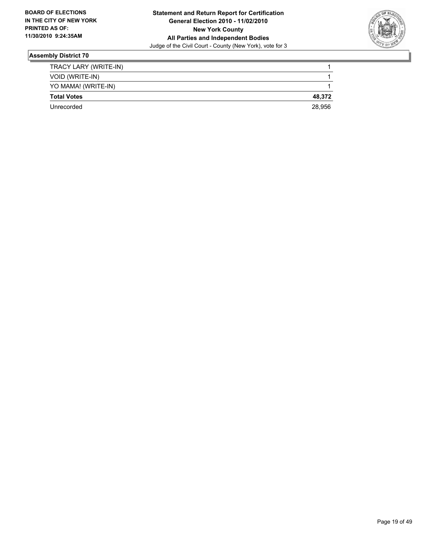

| Unrecorded            | 28,956 |
|-----------------------|--------|
| <b>Total Votes</b>    | 48.372 |
| YO MAMA! (WRITE-IN)   |        |
| VOID (WRITE-IN)       |        |
| TRACY LARY (WRITE-IN) |        |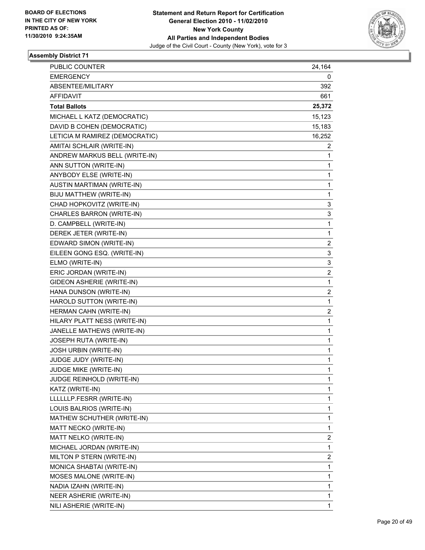

| PUBLIC COUNTER                 | 24,164 |
|--------------------------------|--------|
| <b>EMERGENCY</b>               | 0      |
| ABSENTEE/MILITARY              | 392    |
| <b>AFFIDAVIT</b>               | 661    |
| <b>Total Ballots</b>           | 25,372 |
| MICHAEL L KATZ (DEMOCRATIC)    | 15,123 |
| DAVID B COHEN (DEMOCRATIC)     | 15,183 |
| LETICIA M RAMIREZ (DEMOCRATIC) | 16,252 |
| AMITAI SCHLAIR (WRITE-IN)      | 2      |
| ANDREW MARKUS BELL (WRITE-IN)  | 1      |
| ANN SUTTON (WRITE-IN)          | 1      |
| ANYBODY ELSE (WRITE-IN)        | 1      |
| AUSTIN MARTIMAN (WRITE-IN)     | 1      |
| BIJU MATTHEW (WRITE-IN)        | 1      |
| CHAD HOPKOVITZ (WRITE-IN)      | 3      |
| CHARLES BARRON (WRITE-IN)      | 3      |
| D. CAMPBELL (WRITE-IN)         | 1      |
| DEREK JETER (WRITE-IN)         | 1      |
| EDWARD SIMON (WRITE-IN)        | 2      |
| EILEEN GONG ESQ. (WRITE-IN)    | 3      |
| ELMO (WRITE-IN)                | 3      |
| ERIC JORDAN (WRITE-IN)         | 2      |
| GIDEON ASHERIE (WRITE-IN)      | 1      |
| HANA DUNSON (WRITE-IN)         | 2      |
| HAROLD SUTTON (WRITE-IN)       | 1      |
| HERMAN CAHN (WRITE-IN)         | 2      |
| HILARY PLATT NESS (WRITE-IN)   | 1      |
| JANELLE MATHEWS (WRITE-IN)     | 1      |
| JOSEPH RUTA (WRITE-IN)         | 1      |
| <b>JOSH URBIN (WRITE-IN)</b>   | 1      |
| JUDGE JUDY (WRITE-IN)          | 1      |
| JUDGE MIKE (WRITE-IN)          | 1      |
| JUDGE REINHOLD (WRITE-IN)      | 1      |
| KATZ (WRITE-IN)                | 1      |
| LLLLLLP.FESRR (WRITE-IN)       | 1      |
| LOUIS BALRIOS (WRITE-IN)       | 1      |
| MATHEW SCHUTHER (WRITE-IN)     | 1      |
| MATT NECKO (WRITE-IN)          | 1      |
| MATT NELKO (WRITE-IN)          | 2      |
| MICHAEL JORDAN (WRITE-IN)      | 1      |
| MILTON P STERN (WRITE-IN)      | 2      |
| MONICA SHABTAI (WRITE-IN)      | 1      |
| MOSES MALONE (WRITE-IN)        | 1      |
| NADIA IZAHN (WRITE-IN)         | 1      |
| NEER ASHERIE (WRITE-IN)        | 1      |
| NILI ASHERIE (WRITE-IN)        | 1      |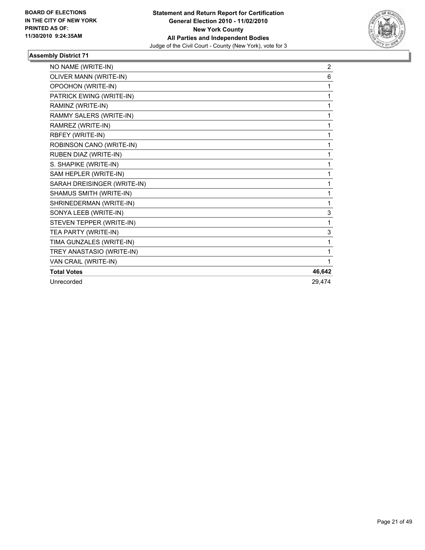

| NO NAME (WRITE-IN)          | $\overline{2}$ |
|-----------------------------|----------------|
| OLIVER MANN (WRITE-IN)      | 6              |
| OPOOHON (WRITE-IN)          | 1              |
| PATRICK EWING (WRITE-IN)    | 1              |
| RAMINZ (WRITE-IN)           | 1              |
| RAMMY SALERS (WRITE-IN)     | $\mathbf 1$    |
| RAMREZ (WRITE-IN)           | 1              |
| RBFEY (WRITE-IN)            | 1              |
| ROBINSON CANO (WRITE-IN)    | 1              |
| RUBEN DIAZ (WRITE-IN)       | 1              |
| S. SHAPIKE (WRITE-IN)       | 1              |
| SAM HEPLER (WRITE-IN)       | 1              |
| SARAH DREISINGER (WRITE-IN) | 1              |
| SHAMUS SMITH (WRITE-IN)     | 1              |
| SHRINEDERMAN (WRITE-IN)     | 1              |
| SONYA LEEB (WRITE-IN)       | 3              |
| STEVEN TEPPER (WRITE-IN)    | 1              |
| TEA PARTY (WRITE-IN)        | 3              |
| TIMA GUNZALES (WRITE-IN)    | 1              |
| TREY ANASTASIO (WRITE-IN)   | 1              |
| VAN CRAIL (WRITE-IN)        | 1              |
| <b>Total Votes</b>          | 46,642         |
| Unrecorded                  | 29.474         |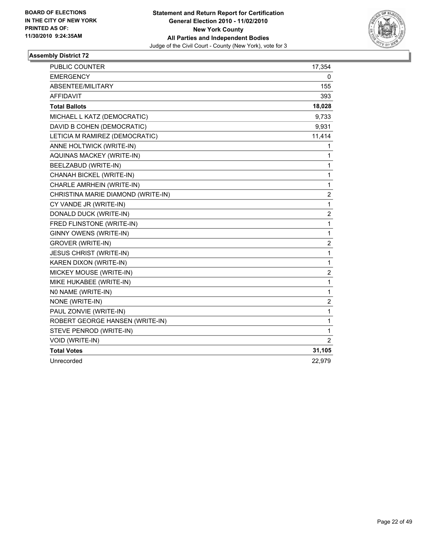

| <b>PUBLIC COUNTER</b>              | 17,354           |
|------------------------------------|------------------|
| <b>EMERGENCY</b>                   | 0                |
| ABSENTEE/MILITARY                  | 155              |
| <b>AFFIDAVIT</b>                   | 393              |
| <b>Total Ballots</b>               | 18,028           |
| MICHAEL L KATZ (DEMOCRATIC)        | 9,733            |
| DAVID B COHEN (DEMOCRATIC)         | 9,931            |
| LETICIA M RAMIREZ (DEMOCRATIC)     | 11,414           |
| ANNE HOLTWICK (WRITE-IN)           | 1                |
| AQUINAS MACKEY (WRITE-IN)          | 1                |
| BEELZABUD (WRITE-IN)               | 1                |
| CHANAH BICKEL (WRITE-IN)           | $\mathbf{1}$     |
| CHARLE AMRHEIN (WRITE-IN)          | 1                |
| CHRISTINA MARIE DIAMOND (WRITE-IN) | $\overline{2}$   |
| CY VANDE JR (WRITE-IN)             | 1                |
| DONALD DUCK (WRITE-IN)             | 2                |
| FRED FLINSTONE (WRITE-IN)          | $\mathbf{1}$     |
| GINNY OWENS (WRITE-IN)             | 1                |
| <b>GROVER (WRITE-IN)</b>           | $\overline{c}$   |
| JESUS CHRIST (WRITE-IN)            | 1                |
| KAREN DIXON (WRITE-IN)             | $\mathbf{1}$     |
| MICKEY MOUSE (WRITE-IN)            | $\boldsymbol{2}$ |
| MIKE HUKABEE (WRITE-IN)            | $\mathbf 1$      |
| NO NAME (WRITE-IN)                 | 1                |
| NONE (WRITE-IN)                    | 2                |
| PAUL ZONVIE (WRITE-IN)             | 1                |
| ROBERT GEORGE HANSEN (WRITE-IN)    | $\mathbf{1}$     |
| STEVE PENROD (WRITE-IN)            | 1                |
| VOID (WRITE-IN)                    | 2                |
| <b>Total Votes</b>                 | 31,105           |
| Unrecorded                         | 22,979           |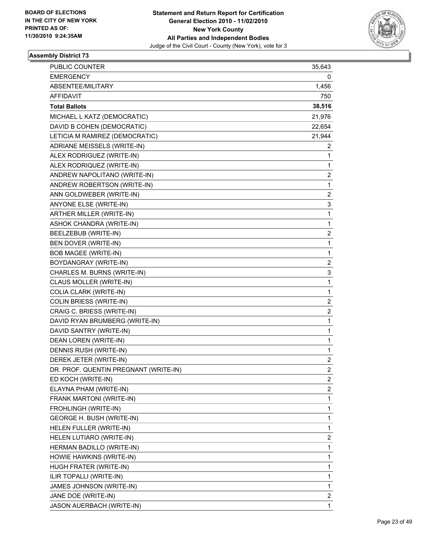

| PUBLIC COUNTER                        | 35,643         |
|---------------------------------------|----------------|
| <b>EMERGENCY</b>                      | 0              |
| ABSENTEE/MILITARY                     | 1,456          |
| AFFIDAVIT                             | 750            |
| <b>Total Ballots</b>                  | 38,516         |
| MICHAEL L KATZ (DEMOCRATIC)           | 21,976         |
| DAVID B COHEN (DEMOCRATIC)            | 22,654         |
| LETICIA M RAMIREZ (DEMOCRATIC)        | 21,944         |
| ADRIANE MEISSELS (WRITE-IN)           | 2              |
| ALEX RODRIGUEZ (WRITE-IN)             | 1              |
| ALEX RODRIQUEZ (WRITE-IN)             | 1              |
| ANDREW NAPOLITANO (WRITE-IN)          | 2              |
| ANDREW ROBERTSON (WRITE-IN)           | 1              |
| ANN GOLDWEBER (WRITE-IN)              | 2              |
| ANYONE ELSE (WRITE-IN)                | 3              |
| <b>ARTHER MILLER (WRITE-IN)</b>       | 1              |
| ASHOK CHANDRA (WRITE-IN)              | 1              |
| BEELZEBUB (WRITE-IN)                  | 2              |
| BEN DOVER (WRITE-IN)                  | 1              |
| <b>BOB MAGEE (WRITE-IN)</b>           | 1              |
| BOYDANGRAY (WRITE-IN)                 | 2              |
| CHARLES M. BURNS (WRITE-IN)           | 3              |
| CLAUS MOLLER (WRITE-IN)               | 1              |
| COLIA CLARK (WRITE-IN)                | 1              |
| <b>COLIN BRIESS (WRITE-IN)</b>        | 2              |
| CRAIG C. BRIESS (WRITE-IN)            | 2              |
| DAVID RYAN BRUMBERG (WRITE-IN)        | 1              |
| DAVID SANTRY (WRITE-IN)               | 1              |
| DEAN LOREN (WRITE-IN)                 | 1              |
| DENNIS RUSH (WRITE-IN)                | 1              |
| DEREK JETER (WRITE-IN)                | 2              |
| DR. PROF. QUENTIN PREGNANT (WRITE-IN) | $\overline{2}$ |
| ED KOCH (WRITE-IN)                    | 2              |
| ELAYNA PHAM (WRITE-IN)                | 2              |
| FRANK MARTONI (WRITE-IN)              | 1              |
| FROHLINGH (WRITE-IN)                  | 1              |
| <b>GEORGE H. BUSH (WRITE-IN)</b>      | 1              |
| HELEN FULLER (WRITE-IN)               | 1              |
| HELEN LUTIARO (WRITE-IN)              | 2              |
| HERMAN BADILLO (WRITE-IN)             | 1              |
| HOWIE HAWKINS (WRITE-IN)              | 1              |
| HUGH FRATER (WRITE-IN)                | 1              |
| ILIR TOPALLI (WRITE-IN)               | 1              |
| JAMES JOHNSON (WRITE-IN)              | 1              |
| JANE DOE (WRITE-IN)                   | 2              |
| JASON AUERBACH (WRITE-IN)             | 1              |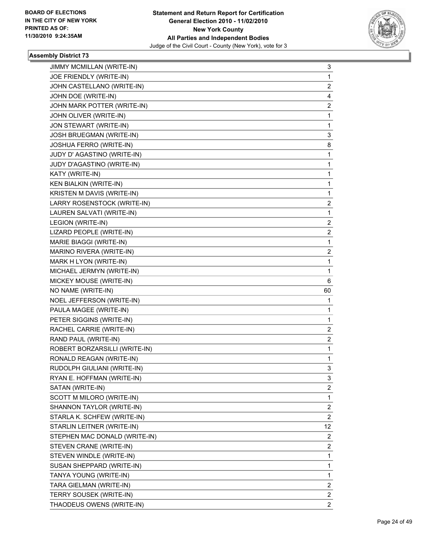

| JIMMY MCMILLAN (WRITE-IN)     | 3              |
|-------------------------------|----------------|
| JOE FRIENDLY (WRITE-IN)       | 1              |
| JOHN CASTELLANO (WRITE-IN)    | $\overline{c}$ |
| JOHN DOE (WRITE-IN)           | 4              |
| JOHN MARK POTTER (WRITE-IN)   | 2              |
| JOHN OLIVER (WRITE-IN)        | 1              |
| JON STEWART (WRITE-IN)        | 1              |
| JOSH BRUEGMAN (WRITE-IN)      | 3              |
| JOSHUA FERRO (WRITE-IN)       | 8              |
| JUDY D' AGASTINO (WRITE-IN)   | 1              |
| JUDY D'AGASTINO (WRITE-IN)    | 1              |
| KATY (WRITE-IN)               | 1              |
| <b>KEN BIALKIN (WRITE-IN)</b> | 1              |
| KRISTEN M DAVIS (WRITE-IN)    | 1              |
| LARRY ROSENSTOCK (WRITE-IN)   | 2              |
| LAUREN SALVATI (WRITE-IN)     | 1              |
| LEGION (WRITE-IN)             | 2              |
| LIZARD PEOPLE (WRITE-IN)      | 2              |
| MARIE BIAGGI (WRITE-IN)       | 1              |
| MARINO RIVERA (WRITE-IN)      | 2              |
| MARK H LYON (WRITE-IN)        | 1              |
| MICHAEL JERMYN (WRITE-IN)     | 1              |
| MICKEY MOUSE (WRITE-IN)       | 6              |
|                               |                |
| NO NAME (WRITE-IN)            | 60             |
| NOEL JEFFERSON (WRITE-IN)     | 1              |
| PAULA MAGEE (WRITE-IN)        | 1              |
| PETER SIGGINS (WRITE-IN)      | 1              |
| RACHEL CARRIE (WRITE-IN)      | 2              |
| RAND PAUL (WRITE-IN)          | 2              |
| ROBERT BORZARSILLI (WRITE-IN) | 1              |
| RONALD REAGAN (WRITE-IN)      | 1              |
| RUDOLPH GIULIANI (WRITE-IN)   | 3              |
| RYAN E. HOFFMAN (WRITE-IN)    | 3              |
| SATAN (WRITE-IN)              | 2              |
| SCOTT M MILORO (WRITE-IN)     | 1              |
| SHANNON TAYLOR (WRITE-IN)     | 2              |
| STARLA K. SCHFEW (WRITE-IN)   | 2              |
| STARLIN LEITNER (WRITE-IN)    | 12             |
| STEPHEN MAC DONALD (WRITE-IN) | 2              |
| STEVEN CRANE (WRITE-IN)       | 2              |
| STEVEN WINDLE (WRITE-IN)      | 1              |
| SUSAN SHEPPARD (WRITE-IN)     | 1              |
| TANYA YOUNG (WRITE-IN)        | 1              |
| TARA GIELMAN (WRITE-IN)       | 2              |
| TERRY SOUSEK (WRITE-IN)       | 2              |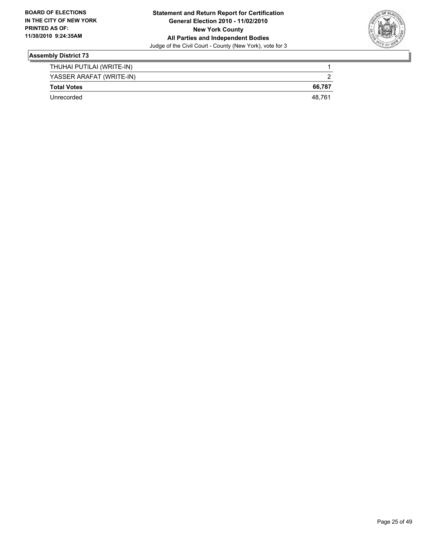

| THUHAI PUTILAI (WRITE-IN) |        |
|---------------------------|--------|
| YASSER ARAFAT (WRITE-IN)  |        |
| <b>Total Votes</b>        | 66.787 |
| Unrecorded                | 48.761 |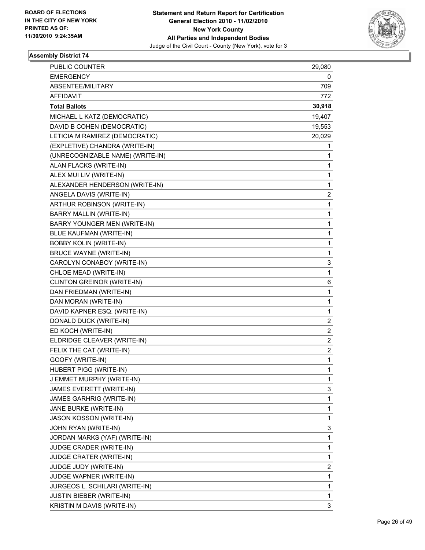

| PUBLIC COUNTER                   | 29,080 |
|----------------------------------|--------|
| <b>EMERGENCY</b>                 | 0      |
| ABSENTEE/MILITARY                | 709    |
| AFFIDAVIT                        | 772    |
| <b>Total Ballots</b>             | 30,918 |
| MICHAEL L KATZ (DEMOCRATIC)      | 19,407 |
| DAVID B COHEN (DEMOCRATIC)       | 19,553 |
| LETICIA M RAMIREZ (DEMOCRATIC)   | 20,029 |
| (EXPLETIVE) CHANDRA (WRITE-IN)   | 1      |
| (UNRECOGNIZABLE NAME) (WRITE-IN) | 1      |
| ALAN FLACKS (WRITE-IN)           | 1      |
| ALEX MUI LIV (WRITE-IN)          | 1      |
| ALEXANDER HENDERSON (WRITE-IN)   | 1      |
| ANGELA DAVIS (WRITE-IN)          | 2      |
| ARTHUR ROBINSON (WRITE-IN)       | 1      |
| BARRY MALLIN (WRITE-IN)          | 1      |
| BARRY YOUNGER MEN (WRITE-IN)     | 1      |
| <b>BLUE KAUFMAN (WRITE-IN)</b>   | 1      |
| <b>BOBBY KOLIN (WRITE-IN)</b>    | 1      |
| <b>BRUCE WAYNE (WRITE-IN)</b>    | 1      |
| CAROLYN CONABOY (WRITE-IN)       | 3      |
| CHLOE MEAD (WRITE-IN)            | 1      |
| CLINTON GREINOR (WRITE-IN)       | 6      |
| DAN FRIEDMAN (WRITE-IN)          | 1      |
| DAN MORAN (WRITE-IN)             | 1      |
| DAVID KAPNER ESQ. (WRITE-IN)     | 1      |
| DONALD DUCK (WRITE-IN)           | 2      |
| ED KOCH (WRITE-IN)               | 2      |
| ELDRIDGE CLEAVER (WRITE-IN)      | 2      |
| FELIX THE CAT (WRITE-IN)         | 2      |
| GOOFY (WRITE-IN)                 | 1      |
| HUBERT PIGG (WRITE-IN)           | 1      |
| J EMMET MURPHY (WRITE-IN)        | 1      |
| JAMES EVERETT (WRITE-IN)         | 3      |
| JAMES GARHRIG (WRITE-IN)         | 1      |
| JANE BURKE (WRITE-IN)            | 1      |
| <b>JASON KOSSON (WRITE-IN)</b>   | 1      |
| JOHN RYAN (WRITE-IN)             | 3      |
| JORDAN MARKS (YAF) (WRITE-IN)    | 1      |
| JUDGE CRADER (WRITE-IN)          | 1      |
| JUDGE CRATER (WRITE-IN)          | 1      |
| JUDGE JUDY (WRITE-IN)            | 2      |
| JUDGE WAPNER (WRITE-IN)          | 1      |
| JURGEOS L. SCHILARI (WRITE-IN)   | 1      |
| <b>JUSTIN BIEBER (WRITE-IN)</b>  | 1      |
| KRISTIN M DAVIS (WRITE-IN)       | 3      |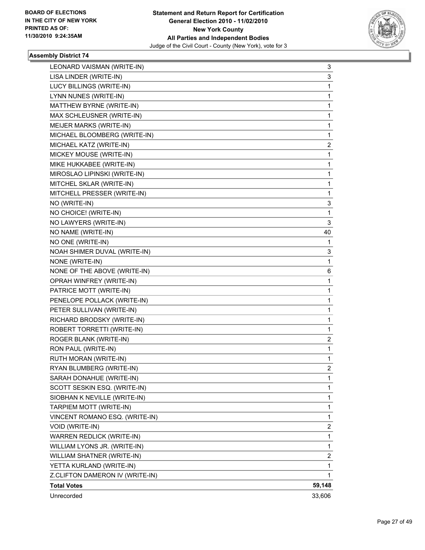

| LEONARD VAISMAN (WRITE-IN)      | 3      |
|---------------------------------|--------|
| LISA LINDER (WRITE-IN)          | 3      |
| LUCY BILLINGS (WRITE-IN)        | 1      |
| LYNN NUNES (WRITE-IN)           | 1      |
| MATTHEW BYRNE (WRITE-IN)        | 1      |
| MAX SCHLEUSNER (WRITE-IN)       | 1      |
| MEIJER MARKS (WRITE-IN)         | 1      |
| MICHAEL BLOOMBERG (WRITE-IN)    | 1      |
| MICHAEL KATZ (WRITE-IN)         | 2      |
| MICKEY MOUSE (WRITE-IN)         | 1      |
| MIKE HUKKABEE (WRITE-IN)        | 1      |
| MIROSLAO LIPINSKI (WRITE-IN)    | 1      |
| MITCHEL SKLAR (WRITE-IN)        | 1      |
| MITCHELL PRESSER (WRITE-IN)     | 1      |
| NO (WRITE-IN)                   | 3      |
| NO CHOICE! (WRITE-IN)           | 1      |
| NO LAWYERS (WRITE-IN)           | 3      |
| NO NAME (WRITE-IN)              | 40     |
| NO ONE (WRITE-IN)               | 1      |
| NOAH SHIMER DUVAL (WRITE-IN)    | 3      |
| NONE (WRITE-IN)                 | 1      |
| NONE OF THE ABOVE (WRITE-IN)    | 6      |
| OPRAH WINFREY (WRITE-IN)        | 1      |
| PATRICE MOTT (WRITE-IN)         | 1      |
| PENELOPE POLLACK (WRITE-IN)     | 1      |
| PETER SULLIVAN (WRITE-IN)       | 1      |
| RICHARD BRODSKY (WRITE-IN)      | 1      |
| ROBERT TORRETTI (WRITE-IN)      | 1      |
| ROGER BLANK (WRITE-IN)          | 2      |
| RON PAUL (WRITE-IN)             | 1      |
| RUTH MORAN (WRITE-IN)           | 1      |
| RYAN BLUMBERG (WRITE-IN)        | 2      |
| SARAH DONAHUE (WRITE-IN)        | 1      |
| SCOTT SESKIN ESQ. (WRITE-IN)    | 1      |
| SIOBHAN K NEVILLE (WRITE-IN)    | 1      |
| TARPIEM MOTT (WRITE-IN)         | 1      |
| VINCENT ROMANO ESQ. (WRITE-IN)  | 1      |
| VOID (WRITE-IN)                 | 2      |
| WARREN REDLICK (WRITE-IN)       | 1      |
| WILLIAM LYONS JR. (WRITE-IN)    | 1      |
| WILLIAM SHATNER (WRITE-IN)      | 2      |
| YETTA KURLAND (WRITE-IN)        | 1      |
| Z.CLIFTON DAMERON IV (WRITE-IN) | 1      |
| <b>Total Votes</b>              | 59,148 |
| Unrecorded                      | 33,606 |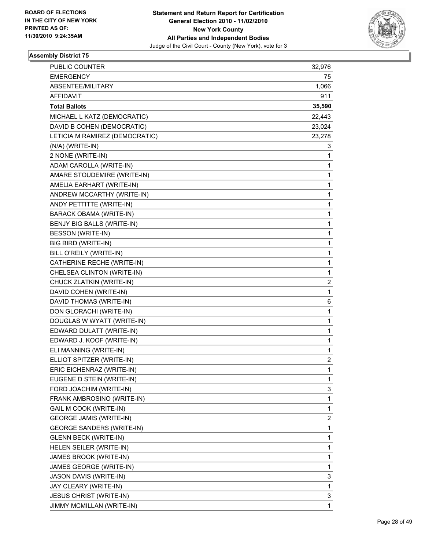

| PUBLIC COUNTER                   | 32,976 |
|----------------------------------|--------|
| <b>EMERGENCY</b>                 | 75     |
| ABSENTEE/MILITARY                | 1,066  |
| <b>AFFIDAVIT</b>                 | 911    |
| <b>Total Ballots</b>             | 35,590 |
| MICHAEL L KATZ (DEMOCRATIC)      | 22,443 |
| DAVID B COHEN (DEMOCRATIC)       | 23,024 |
| LETICIA M RAMIREZ (DEMOCRATIC)   | 23,278 |
| (N/A) (WRITE-IN)                 | 3      |
| 2 NONE (WRITE-IN)                | 1      |
| ADAM CAROLLA (WRITE-IN)          | 1      |
| AMARE STOUDEMIRE (WRITE-IN)      | 1      |
| AMELIA EARHART (WRITE-IN)        | 1      |
| ANDREW MCCARTHY (WRITE-IN)       | 1      |
| ANDY PETTITTE (WRITE-IN)         | 1      |
| <b>BARACK OBAMA (WRITE-IN)</b>   | 1      |
| BENJY BIG BALLS (WRITE-IN)       | 1      |
| BESSON (WRITE-IN)                | 1      |
| <b>BIG BIRD (WRITE-IN)</b>       | 1      |
| BILL O'REILY (WRITE-IN)          | 1      |
| CATHERINE RECHE (WRITE-IN)       | 1      |
| CHELSEA CLINTON (WRITE-IN)       | 1      |
| CHUCK ZLATKIN (WRITE-IN)         | 2      |
| DAVID COHEN (WRITE-IN)           | 1      |
| DAVID THOMAS (WRITE-IN)          | 6      |
| DON GLORACHI (WRITE-IN)          | 1      |
| DOUGLAS W WYATT (WRITE-IN)       | 1      |
| EDWARD DULATT (WRITE-IN)         | 1      |
| EDWARD J. KOOF (WRITE-IN)        | 1      |
| ELI MANNING (WRITE-IN)           | 1      |
| ELLIOT SPITZER (WRITE-IN)        | 2      |
| ERIC EICHENRAZ (WRITE-IN)        | 1      |
| EUGENE D STEIN (WRITE-IN)        | 1      |
| FORD JOACHIM (WRITE-IN)          | 3      |
| FRANK AMBROSINO (WRITE-IN)       | 1      |
| GAIL M COOK (WRITE-IN)           | 1      |
| <b>GEORGE JAMIS (WRITE-IN)</b>   | 2      |
| <b>GEORGE SANDERS (WRITE-IN)</b> | 1      |
| <b>GLENN BECK (WRITE-IN)</b>     | 1      |
| HELEN SEILER (WRITE-IN)          | 1      |
| JAMES BROOK (WRITE-IN)           | 1      |
| JAMES GEORGE (WRITE-IN)          | 1      |
| JASON DAVIS (WRITE-IN)           | 3      |
| JAY CLEARY (WRITE-IN)            | 1      |
| JESUS CHRIST (WRITE-IN)          | 3      |
| JIMMY MCMILLAN (WRITE-IN)        | 1      |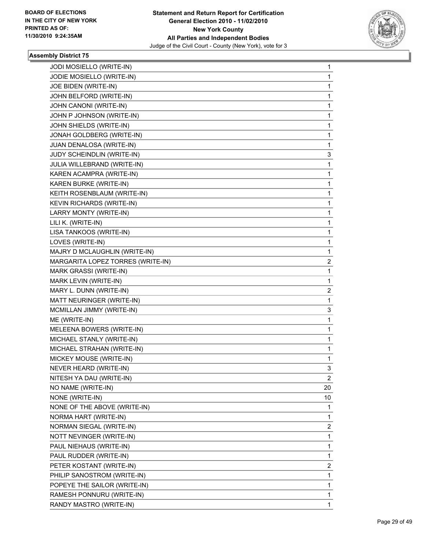

| JODI MOSIELLO (WRITE-IN)          | $\mathbf 1$             |
|-----------------------------------|-------------------------|
| JODIE MOSIELLO (WRITE-IN)         | 1                       |
| JOE BIDEN (WRITE-IN)              | $\mathbf 1$             |
| JOHN BELFORD (WRITE-IN)           | 1                       |
| JOHN CANONI (WRITE-IN)            | 1                       |
| JOHN P JOHNSON (WRITE-IN)         | 1                       |
| JOHN SHIELDS (WRITE-IN)           | 1                       |
| JONAH GOLDBERG (WRITE-IN)         | 1                       |
| JUAN DENALOSA (WRITE-IN)          | 1                       |
| JUDY SCHEINDLIN (WRITE-IN)        | 3                       |
| JULIA WILLEBRAND (WRITE-IN)       | $\mathbf{1}$            |
| KAREN ACAMPRA (WRITE-IN)          | 1                       |
| KAREN BURKE (WRITE-IN)            | 1                       |
| KEITH ROSENBLAUM (WRITE-IN)       | 1                       |
| KEVIN RICHARDS (WRITE-IN)         | 1                       |
| LARRY MONTY (WRITE-IN)            | 1                       |
| LILI K. (WRITE-IN)                | $\mathbf{1}$            |
| LISA TANKOOS (WRITE-IN)           | 1                       |
| LOVES (WRITE-IN)                  | 1                       |
| MAJRY D MCLAUGHLIN (WRITE-IN)     | 1                       |
| MARGARITA LOPEZ TORRES (WRITE-IN) | 2                       |
| MARK GRASSI (WRITE-IN)            | 1                       |
| MARK LEVIN (WRITE-IN)             | 1                       |
| MARY L. DUNN (WRITE-IN)           | 2                       |
| MATT NEURINGER (WRITE-IN)         | 1                       |
| MCMILLAN JIMMY (WRITE-IN)         | 3                       |
| ME (WRITE-IN)                     | 1                       |
| MELEENA BOWERS (WRITE-IN)         | 1                       |
| MICHAEL STANLY (WRITE-IN)         | $\mathbf{1}$            |
| MICHAEL STRAHAN (WRITE-IN)        | 1                       |
| MICKEY MOUSE (WRITE-IN)           | 1                       |
| NEVER HEARD (WRITE-IN)            | 3                       |
| NITESH YA DAU (WRITE-IN)          | 2                       |
| NO NAME (WRITE-IN)                | 20                      |
| NONE (WRITE-IN)                   | 10                      |
| NONE OF THE ABOVE (WRITE-IN)      | 1                       |
| NORMA HART (WRITE-IN)             | 1                       |
| NORMAN SIEGAL (WRITE-IN)          | $\overline{\mathbf{c}}$ |
| NOTT NEVINGER (WRITE-IN)          | 1                       |
| PAUL NIEHAUS (WRITE-IN)           | $\mathbf 1$             |
| PAUL RUDDER (WRITE-IN)            | $\mathbf 1$             |
| PETER KOSTANT (WRITE-IN)          | 2                       |
| PHILIP SANOSTROM (WRITE-IN)       | 1                       |
| POPEYE THE SAILOR (WRITE-IN)      | $\mathbf{1}$            |
| RAMESH PONNURU (WRITE-IN)         | 1                       |
| RANDY MASTRO (WRITE-IN)           | 1                       |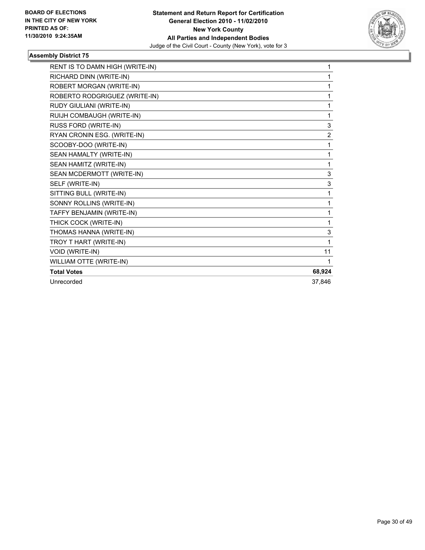

| RENT IS TO DAMN HIGH (WRITE-IN) | 1              |
|---------------------------------|----------------|
| RICHARD DINN (WRITE-IN)         | 1              |
| ROBERT MORGAN (WRITE-IN)        | 1              |
| ROBERTO RODGRIGUEZ (WRITE-IN)   | 1              |
| RUDY GIULIANI (WRITE-IN)        | 1              |
| RUIJH COMBAUGH (WRITE-IN)       | 1              |
| RUSS FORD (WRITE-IN)            | 3              |
| RYAN CRONIN ESG. (WRITE-IN)     | $\overline{2}$ |
| SCOOBY-DOO (WRITE-IN)           | 1              |
| SEAN HAMALTY (WRITE-IN)         | 1              |
| SEAN HAMITZ (WRITE-IN)          | 1              |
| SEAN MCDERMOTT (WRITE-IN)       | 3              |
| SELF (WRITE-IN)                 | 3              |
| SITTING BULL (WRITE-IN)         | 1              |
| SONNY ROLLINS (WRITE-IN)        | 1              |
| TAFFY BENJAMIN (WRITE-IN)       | 1              |
| THICK COCK (WRITE-IN)           | 1              |
| THOMAS HANNA (WRITE-IN)         | 3              |
| TROY T HART (WRITE-IN)          | 1              |
| VOID (WRITE-IN)                 | 11             |
| WILLIAM OTTE (WRITE-IN)         | 1              |
| <b>Total Votes</b>              | 68,924         |
| Unrecorded                      | 37.846         |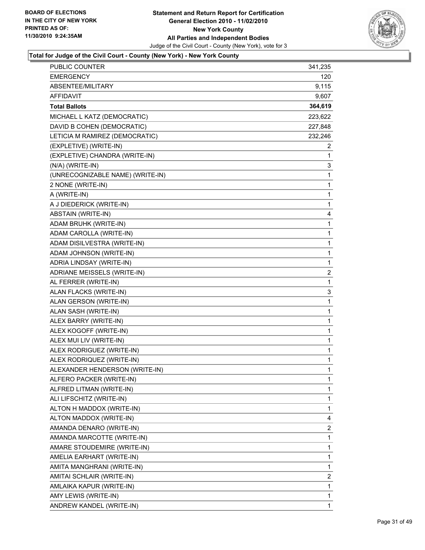

| <b>EMERGENCY</b><br>120<br>ABSENTEE/MILITARY<br>AFFIDAVIT<br><b>Total Ballots</b><br>MICHAEL L KATZ (DEMOCRATIC)<br>DAVID B COHEN (DEMOCRATIC)<br>LETICIA M RAMIREZ (DEMOCRATIC)<br>(EXPLETIVE) (WRITE-IN)<br>(EXPLETIVE) CHANDRA (WRITE-IN)<br>1<br>(N/A) (WRITE-IN)<br>3<br>(UNRECOGNIZABLE NAME) (WRITE-IN)<br>1<br>2 NONE (WRITE-IN)<br>1<br>A (WRITE-IN)<br>$\mathbf{1}$<br>A J DIEDERICK (WRITE-IN)<br>1<br>ABSTAIN (WRITE-IN)<br>4<br>ADAM BRUHK (WRITE-IN)<br>1<br>ADAM CAROLLA (WRITE-IN)<br>1<br>ADAM DISILVESTRA (WRITE-IN)<br>1<br>ADAM JOHNSON (WRITE-IN)<br>$\mathbf{1}$<br>ADRIA LINDSAY (WRITE-IN)<br>1<br>ADRIANE MEISSELS (WRITE-IN)<br>AL FERRER (WRITE-IN)<br>1<br>ALAN FLACKS (WRITE-IN)<br>3<br>ALAN GERSON (WRITE-IN)<br>1<br>ALAN SASH (WRITE-IN)<br>$\mathbf{1}$<br>ALEX BARRY (WRITE-IN)<br>1<br>ALEX KOGOFF (WRITE-IN)<br>1<br>ALEX MUI LIV (WRITE-IN)<br>$\mathbf{1}$<br>ALEX RODRIGUEZ (WRITE-IN)<br>$\mathbf 1$<br>ALEX RODRIQUEZ (WRITE-IN)<br>1<br>ALEXANDER HENDERSON (WRITE-IN)<br>$\mathbf 1$<br>1<br>ALFERO PACKER (WRITE-IN)<br>ALFRED LITMAN (WRITE-IN)<br>1<br>1<br>ALI LIFSCHITZ (WRITE-IN)<br>1<br>ALTON H MADDOX (WRITE-IN)<br>ALTON MADDOX (WRITE-IN)<br>4<br>AMANDA DENARO (WRITE-IN)<br>2<br>1<br>AMANDA MARCOTTE (WRITE-IN)<br>AMARE STOUDEMIRE (WRITE-IN)<br>1<br>1<br>AMELIA EARHART (WRITE-IN)<br>1<br>AMITA MANGHRANI (WRITE-IN)<br>AMITAI SCHLAIR (WRITE-IN)<br>2<br>AMLAIKA KAPUR (WRITE-IN)<br>1<br>$\mathbf 1$<br>AMY LEWIS (WRITE-IN)<br>ANDREW KANDEL (WRITE-IN)<br>1 | <b>PUBLIC COUNTER</b> | 341,235        |
|-------------------------------------------------------------------------------------------------------------------------------------------------------------------------------------------------------------------------------------------------------------------------------------------------------------------------------------------------------------------------------------------------------------------------------------------------------------------------------------------------------------------------------------------------------------------------------------------------------------------------------------------------------------------------------------------------------------------------------------------------------------------------------------------------------------------------------------------------------------------------------------------------------------------------------------------------------------------------------------------------------------------------------------------------------------------------------------------------------------------------------------------------------------------------------------------------------------------------------------------------------------------------------------------------------------------------------------------------------------------------------------------------------------------------------------------------------------------------------------------------------------------------------|-----------------------|----------------|
|                                                                                                                                                                                                                                                                                                                                                                                                                                                                                                                                                                                                                                                                                                                                                                                                                                                                                                                                                                                                                                                                                                                                                                                                                                                                                                                                                                                                                                                                                                                               |                       |                |
|                                                                                                                                                                                                                                                                                                                                                                                                                                                                                                                                                                                                                                                                                                                                                                                                                                                                                                                                                                                                                                                                                                                                                                                                                                                                                                                                                                                                                                                                                                                               |                       | 9,115          |
|                                                                                                                                                                                                                                                                                                                                                                                                                                                                                                                                                                                                                                                                                                                                                                                                                                                                                                                                                                                                                                                                                                                                                                                                                                                                                                                                                                                                                                                                                                                               |                       | 9,607          |
|                                                                                                                                                                                                                                                                                                                                                                                                                                                                                                                                                                                                                                                                                                                                                                                                                                                                                                                                                                                                                                                                                                                                                                                                                                                                                                                                                                                                                                                                                                                               |                       | 364,619        |
|                                                                                                                                                                                                                                                                                                                                                                                                                                                                                                                                                                                                                                                                                                                                                                                                                                                                                                                                                                                                                                                                                                                                                                                                                                                                                                                                                                                                                                                                                                                               |                       | 223,622        |
|                                                                                                                                                                                                                                                                                                                                                                                                                                                                                                                                                                                                                                                                                                                                                                                                                                                                                                                                                                                                                                                                                                                                                                                                                                                                                                                                                                                                                                                                                                                               |                       | 227,848        |
|                                                                                                                                                                                                                                                                                                                                                                                                                                                                                                                                                                                                                                                                                                                                                                                                                                                                                                                                                                                                                                                                                                                                                                                                                                                                                                                                                                                                                                                                                                                               |                       | 232,246        |
|                                                                                                                                                                                                                                                                                                                                                                                                                                                                                                                                                                                                                                                                                                                                                                                                                                                                                                                                                                                                                                                                                                                                                                                                                                                                                                                                                                                                                                                                                                                               |                       | 2              |
|                                                                                                                                                                                                                                                                                                                                                                                                                                                                                                                                                                                                                                                                                                                                                                                                                                                                                                                                                                                                                                                                                                                                                                                                                                                                                                                                                                                                                                                                                                                               |                       |                |
|                                                                                                                                                                                                                                                                                                                                                                                                                                                                                                                                                                                                                                                                                                                                                                                                                                                                                                                                                                                                                                                                                                                                                                                                                                                                                                                                                                                                                                                                                                                               |                       |                |
|                                                                                                                                                                                                                                                                                                                                                                                                                                                                                                                                                                                                                                                                                                                                                                                                                                                                                                                                                                                                                                                                                                                                                                                                                                                                                                                                                                                                                                                                                                                               |                       |                |
|                                                                                                                                                                                                                                                                                                                                                                                                                                                                                                                                                                                                                                                                                                                                                                                                                                                                                                                                                                                                                                                                                                                                                                                                                                                                                                                                                                                                                                                                                                                               |                       |                |
|                                                                                                                                                                                                                                                                                                                                                                                                                                                                                                                                                                                                                                                                                                                                                                                                                                                                                                                                                                                                                                                                                                                                                                                                                                                                                                                                                                                                                                                                                                                               |                       |                |
|                                                                                                                                                                                                                                                                                                                                                                                                                                                                                                                                                                                                                                                                                                                                                                                                                                                                                                                                                                                                                                                                                                                                                                                                                                                                                                                                                                                                                                                                                                                               |                       |                |
|                                                                                                                                                                                                                                                                                                                                                                                                                                                                                                                                                                                                                                                                                                                                                                                                                                                                                                                                                                                                                                                                                                                                                                                                                                                                                                                                                                                                                                                                                                                               |                       |                |
|                                                                                                                                                                                                                                                                                                                                                                                                                                                                                                                                                                                                                                                                                                                                                                                                                                                                                                                                                                                                                                                                                                                                                                                                                                                                                                                                                                                                                                                                                                                               |                       |                |
|                                                                                                                                                                                                                                                                                                                                                                                                                                                                                                                                                                                                                                                                                                                                                                                                                                                                                                                                                                                                                                                                                                                                                                                                                                                                                                                                                                                                                                                                                                                               |                       |                |
|                                                                                                                                                                                                                                                                                                                                                                                                                                                                                                                                                                                                                                                                                                                                                                                                                                                                                                                                                                                                                                                                                                                                                                                                                                                                                                                                                                                                                                                                                                                               |                       |                |
|                                                                                                                                                                                                                                                                                                                                                                                                                                                                                                                                                                                                                                                                                                                                                                                                                                                                                                                                                                                                                                                                                                                                                                                                                                                                                                                                                                                                                                                                                                                               |                       |                |
|                                                                                                                                                                                                                                                                                                                                                                                                                                                                                                                                                                                                                                                                                                                                                                                                                                                                                                                                                                                                                                                                                                                                                                                                                                                                                                                                                                                                                                                                                                                               |                       |                |
|                                                                                                                                                                                                                                                                                                                                                                                                                                                                                                                                                                                                                                                                                                                                                                                                                                                                                                                                                                                                                                                                                                                                                                                                                                                                                                                                                                                                                                                                                                                               |                       | $\overline{2}$ |
|                                                                                                                                                                                                                                                                                                                                                                                                                                                                                                                                                                                                                                                                                                                                                                                                                                                                                                                                                                                                                                                                                                                                                                                                                                                                                                                                                                                                                                                                                                                               |                       |                |
|                                                                                                                                                                                                                                                                                                                                                                                                                                                                                                                                                                                                                                                                                                                                                                                                                                                                                                                                                                                                                                                                                                                                                                                                                                                                                                                                                                                                                                                                                                                               |                       |                |
|                                                                                                                                                                                                                                                                                                                                                                                                                                                                                                                                                                                                                                                                                                                                                                                                                                                                                                                                                                                                                                                                                                                                                                                                                                                                                                                                                                                                                                                                                                                               |                       |                |
|                                                                                                                                                                                                                                                                                                                                                                                                                                                                                                                                                                                                                                                                                                                                                                                                                                                                                                                                                                                                                                                                                                                                                                                                                                                                                                                                                                                                                                                                                                                               |                       |                |
|                                                                                                                                                                                                                                                                                                                                                                                                                                                                                                                                                                                                                                                                                                                                                                                                                                                                                                                                                                                                                                                                                                                                                                                                                                                                                                                                                                                                                                                                                                                               |                       |                |
|                                                                                                                                                                                                                                                                                                                                                                                                                                                                                                                                                                                                                                                                                                                                                                                                                                                                                                                                                                                                                                                                                                                                                                                                                                                                                                                                                                                                                                                                                                                               |                       |                |
|                                                                                                                                                                                                                                                                                                                                                                                                                                                                                                                                                                                                                                                                                                                                                                                                                                                                                                                                                                                                                                                                                                                                                                                                                                                                                                                                                                                                                                                                                                                               |                       |                |
|                                                                                                                                                                                                                                                                                                                                                                                                                                                                                                                                                                                                                                                                                                                                                                                                                                                                                                                                                                                                                                                                                                                                                                                                                                                                                                                                                                                                                                                                                                                               |                       |                |
|                                                                                                                                                                                                                                                                                                                                                                                                                                                                                                                                                                                                                                                                                                                                                                                                                                                                                                                                                                                                                                                                                                                                                                                                                                                                                                                                                                                                                                                                                                                               |                       |                |
|                                                                                                                                                                                                                                                                                                                                                                                                                                                                                                                                                                                                                                                                                                                                                                                                                                                                                                                                                                                                                                                                                                                                                                                                                                                                                                                                                                                                                                                                                                                               |                       |                |
|                                                                                                                                                                                                                                                                                                                                                                                                                                                                                                                                                                                                                                                                                                                                                                                                                                                                                                                                                                                                                                                                                                                                                                                                                                                                                                                                                                                                                                                                                                                               |                       |                |
|                                                                                                                                                                                                                                                                                                                                                                                                                                                                                                                                                                                                                                                                                                                                                                                                                                                                                                                                                                                                                                                                                                                                                                                                                                                                                                                                                                                                                                                                                                                               |                       |                |
|                                                                                                                                                                                                                                                                                                                                                                                                                                                                                                                                                                                                                                                                                                                                                                                                                                                                                                                                                                                                                                                                                                                                                                                                                                                                                                                                                                                                                                                                                                                               |                       |                |
|                                                                                                                                                                                                                                                                                                                                                                                                                                                                                                                                                                                                                                                                                                                                                                                                                                                                                                                                                                                                                                                                                                                                                                                                                                                                                                                                                                                                                                                                                                                               |                       |                |
|                                                                                                                                                                                                                                                                                                                                                                                                                                                                                                                                                                                                                                                                                                                                                                                                                                                                                                                                                                                                                                                                                                                                                                                                                                                                                                                                                                                                                                                                                                                               |                       |                |
|                                                                                                                                                                                                                                                                                                                                                                                                                                                                                                                                                                                                                                                                                                                                                                                                                                                                                                                                                                                                                                                                                                                                                                                                                                                                                                                                                                                                                                                                                                                               |                       |                |
|                                                                                                                                                                                                                                                                                                                                                                                                                                                                                                                                                                                                                                                                                                                                                                                                                                                                                                                                                                                                                                                                                                                                                                                                                                                                                                                                                                                                                                                                                                                               |                       |                |
|                                                                                                                                                                                                                                                                                                                                                                                                                                                                                                                                                                                                                                                                                                                                                                                                                                                                                                                                                                                                                                                                                                                                                                                                                                                                                                                                                                                                                                                                                                                               |                       |                |
|                                                                                                                                                                                                                                                                                                                                                                                                                                                                                                                                                                                                                                                                                                                                                                                                                                                                                                                                                                                                                                                                                                                                                                                                                                                                                                                                                                                                                                                                                                                               |                       |                |
|                                                                                                                                                                                                                                                                                                                                                                                                                                                                                                                                                                                                                                                                                                                                                                                                                                                                                                                                                                                                                                                                                                                                                                                                                                                                                                                                                                                                                                                                                                                               |                       |                |
|                                                                                                                                                                                                                                                                                                                                                                                                                                                                                                                                                                                                                                                                                                                                                                                                                                                                                                                                                                                                                                                                                                                                                                                                                                                                                                                                                                                                                                                                                                                               |                       |                |
|                                                                                                                                                                                                                                                                                                                                                                                                                                                                                                                                                                                                                                                                                                                                                                                                                                                                                                                                                                                                                                                                                                                                                                                                                                                                                                                                                                                                                                                                                                                               |                       |                |
|                                                                                                                                                                                                                                                                                                                                                                                                                                                                                                                                                                                                                                                                                                                                                                                                                                                                                                                                                                                                                                                                                                                                                                                                                                                                                                                                                                                                                                                                                                                               |                       |                |
|                                                                                                                                                                                                                                                                                                                                                                                                                                                                                                                                                                                                                                                                                                                                                                                                                                                                                                                                                                                                                                                                                                                                                                                                                                                                                                                                                                                                                                                                                                                               |                       |                |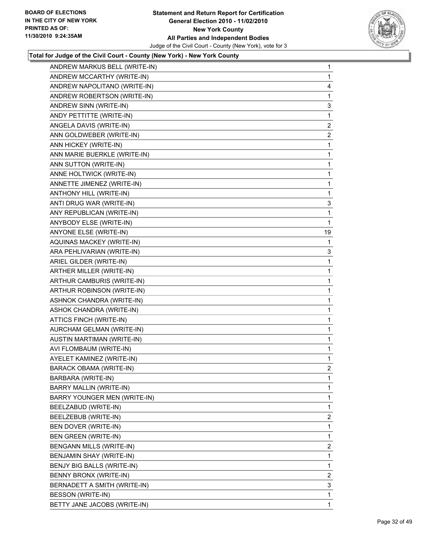

| ANDREW MARKUS BELL (WRITE-IN)  | $\mathbf{1}$   |
|--------------------------------|----------------|
| ANDREW MCCARTHY (WRITE-IN)     | $\mathbf{1}$   |
| ANDREW NAPOLITANO (WRITE-IN)   | 4              |
| ANDREW ROBERTSON (WRITE-IN)    | 1              |
| ANDREW SINN (WRITE-IN)         | 3              |
| ANDY PETTITTE (WRITE-IN)       | 1              |
| ANGELA DAVIS (WRITE-IN)        | 2              |
| ANN GOLDWEBER (WRITE-IN)       | 2              |
| ANN HICKEY (WRITE-IN)          | 1              |
| ANN MARIE BUERKLE (WRITE-IN)   | $\mathbf{1}$   |
| ANN SUTTON (WRITE-IN)          | 1              |
| ANNE HOLTWICK (WRITE-IN)       | 1              |
| ANNETTE JIMENEZ (WRITE-IN)     | 1              |
| ANTHONY HILL (WRITE-IN)        | 1              |
| ANTI DRUG WAR (WRITE-IN)       | 3              |
| ANY REPUBLICAN (WRITE-IN)      | 1              |
| ANYBODY ELSE (WRITE-IN)        | 1              |
| ANYONE ELSE (WRITE-IN)         | 19             |
| AQUINAS MACKEY (WRITE-IN)      | 1              |
| ARA PEHLIVARIAN (WRITE-IN)     | 3              |
| ARIEL GILDER (WRITE-IN)        | 1              |
| ARTHER MILLER (WRITE-IN)       | $\mathbf{1}$   |
| ARTHUR CAMBURIS (WRITE-IN)     | 1              |
| ARTHUR ROBINSON (WRITE-IN)     | 1              |
| ASHNOK CHANDRA (WRITE-IN)      | 1              |
| ASHOK CHANDRA (WRITE-IN)       | 1              |
| ATTICS FINCH (WRITE-IN)        | 1              |
| AURCHAM GELMAN (WRITE-IN)      | $\mathbf{1}$   |
| AUSTIN MARTIMAN (WRITE-IN)     | 1              |
| AVI FLOMBAUM (WRITE-IN)        | 1              |
| AYELET KAMINEZ (WRITE-IN)      | 1              |
| <b>BARACK OBAMA (WRITE-IN)</b> | $\overline{2}$ |
| BARBARA (WRITE-IN)             | 1              |
| BARRY MALLIN (WRITE-IN)        | 1              |
| BARRY YOUNGER MEN (WRITE-IN)   | 1              |
| BEELZABUD (WRITE-IN)           | 1              |
| BEELZEBUB (WRITE-IN)           | 2              |
| BEN DOVER (WRITE-IN)           | 1              |
| BEN GREEN (WRITE-IN)           | 1              |
| BENGANN MILLS (WRITE-IN)       | $\mathbf{2}$   |
| BENJAMIN SHAY (WRITE-IN)       | 1              |
| BENJY BIG BALLS (WRITE-IN)     | 1              |
| BENNY BRONX (WRITE-IN)         | 2              |
| BERNADETT A SMITH (WRITE-IN)   | 3              |
| BESSON (WRITE-IN)              | 1              |
| BETTY JANE JACOBS (WRITE-IN)   | $\mathbf{1}$   |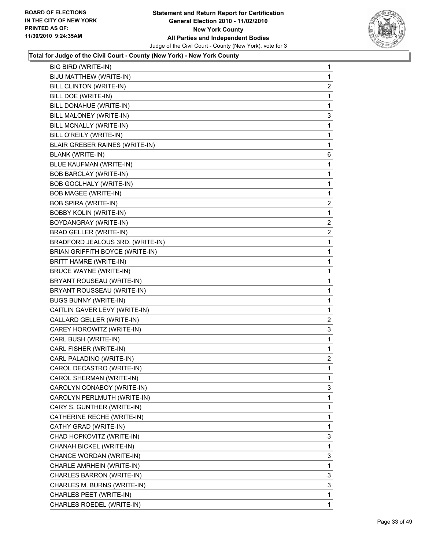

| BIG BIRD (WRITE-IN)              | 1              |
|----------------------------------|----------------|
| BIJU MATTHEW (WRITE-IN)          | 1              |
| BILL CLINTON (WRITE-IN)          | 2              |
| BILL DOE (WRITE-IN)              | 1              |
| BILL DONAHUE (WRITE-IN)          | 1              |
| BILL MALONEY (WRITE-IN)          | 3              |
| BILL MCNALLY (WRITE-IN)          | 1              |
| BILL O'REILY (WRITE-IN)          | 1              |
| BLAIR GREBER RAINES (WRITE-IN)   | 1              |
| <b>BLANK (WRITE-IN)</b>          | 6              |
| BLUE KAUFMAN (WRITE-IN)          | 1              |
| <b>BOB BARCLAY (WRITE-IN)</b>    | 1              |
| BOB GOCLHALY (WRITE-IN)          | 1              |
| <b>BOB MAGEE (WRITE-IN)</b>      | 1              |
| <b>BOB SPIRA (WRITE-IN)</b>      | 2              |
| <b>BOBBY KOLIN (WRITE-IN)</b>    | 1              |
| BOYDANGRAY (WRITE-IN)            | $\overline{2}$ |
| <b>BRAD GELLER (WRITE-IN)</b>    | 2              |
| BRADFORD JEALOUS 3RD. (WRITE-IN) | 1              |
| BRIAN GRIFFITH BOYCE (WRITE-IN)  | 1              |
| BRITT HAMRE (WRITE-IN)           | 1              |
| <b>BRUCE WAYNE (WRITE-IN)</b>    | 1              |
| BRYANT ROUSEAU (WRITE-IN)        | 1              |
| BRYANT ROUSSEAU (WRITE-IN)       | 1              |
| <b>BUGS BUNNY (WRITE-IN)</b>     | 1              |
| CAITLIN GAVER LEVY (WRITE-IN)    | 1              |
| CALLARD GELLER (WRITE-IN)        | $\overline{2}$ |
| CAREY HOROWITZ (WRITE-IN)        | 3              |
| CARL BUSH (WRITE-IN)             | 1              |
| CARL FISHER (WRITE-IN)           | 1              |
| CARL PALADINO (WRITE-IN)         | 2              |
| CAROL DECASTRO (WRITE-IN)        | 1              |
| CAROL SHERMAN (WRITE-IN)         | 1              |
| CAROLYN CONABOY (WRITE-IN)       | 3              |
| CAROLYN PERLMUTH (WRITE-IN)      | 1              |
| CARY S. GUNTHER (WRITE-IN)       | 1              |
| CATHERINE RECHE (WRITE-IN)       | 1              |
| CATHY GRAD (WRITE-IN)            | 1              |
| CHAD HOPKOVITZ (WRITE-IN)        | 3              |
| CHANAH BICKEL (WRITE-IN)         | 1              |
| CHANCE WORDAN (WRITE-IN)         | 3              |
| CHARLE AMRHEIN (WRITE-IN)        | 1              |
| CHARLES BARRON (WRITE-IN)        | 3              |
| CHARLES M. BURNS (WRITE-IN)      | 3              |
| CHARLES PEET (WRITE-IN)          | 1              |
| CHARLES ROEDEL (WRITE-IN)        | 1              |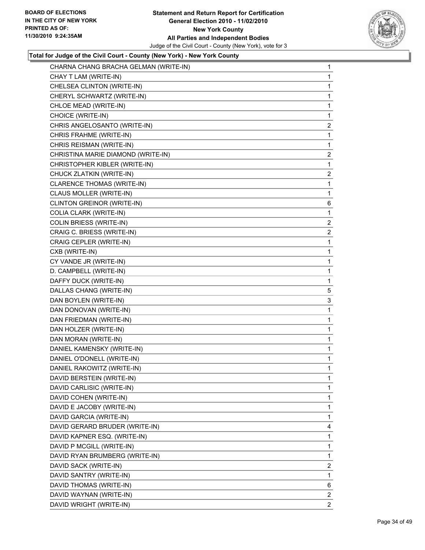#### **Statement and Return Report for Certification General Election 2010 - 11/02/2010 New York County All Parties and Independent Bodies** Judge of the Civil Court - County (New York), vote for 3



| CHARNA CHANG BRACHA GELMAN (WRITE-IN) | 1              |
|---------------------------------------|----------------|
| CHAY T LAM (WRITE-IN)                 | $\mathbf{1}$   |
| CHELSEA CLINTON (WRITE-IN)            | 1              |
| CHERYL SCHWARTZ (WRITE-IN)            | 1              |
| CHLOE MEAD (WRITE-IN)                 | 1              |
| CHOICE (WRITE-IN)                     | 1              |
| CHRIS ANGELOSANTO (WRITE-IN)          | 2              |
| CHRIS FRAHME (WRITE-IN)               | 1              |
| CHRIS REISMAN (WRITE-IN)              | 1              |
| CHRISTINA MARIE DIAMOND (WRITE-IN)    | 2              |
| CHRISTOPHER KIBLER (WRITE-IN)         | 1              |
| CHUCK ZLATKIN (WRITE-IN)              | $\mathbf{2}$   |
| CLARENCE THOMAS (WRITE-IN)            | 1              |
| CLAUS MOLLER (WRITE-IN)               | 1              |
| CLINTON GREINOR (WRITE-IN)            | 6              |
| COLIA CLARK (WRITE-IN)                | 1              |
| COLIN BRIESS (WRITE-IN)               | 2              |
| CRAIG C. BRIESS (WRITE-IN)            | $\overline{c}$ |
| CRAIG CEPLER (WRITE-IN)               | 1              |
| CXB (WRITE-IN)                        | 1              |
| CY VANDE JR (WRITE-IN)                | 1              |
| D. CAMPBELL (WRITE-IN)                | 1              |
| DAFFY DUCK (WRITE-IN)                 | 1              |
| DALLAS CHANG (WRITE-IN)               | 5              |
| DAN BOYLEN (WRITE-IN)                 | 3              |
| DAN DONOVAN (WRITE-IN)                | 1              |
| DAN FRIEDMAN (WRITE-IN)               | 1              |
| DAN HOLZER (WRITE-IN)                 | 1              |
| DAN MORAN (WRITE-IN)                  | 1              |
| DANIEL KAMENSKY (WRITE-IN)            | 1              |
| DANIEL O'DONELL (WRITE-IN)            | 1              |
| DANIEL RAKOWITZ (WRITE-IN)            | $\mathbf{1}$   |
| DAVID BERSTEIN (WRITE-IN)             | 1              |
| DAVID CARLISIC (WRITE-IN)             | 1              |
| DAVID COHEN (WRITE-IN)                | 1              |
| DAVID E JACOBY (WRITE-IN)             | 1              |
| DAVID GARCIA (WRITE-IN)               | 1              |
| DAVID GERARD BRUDER (WRITE-IN)        | 4              |
| DAVID KAPNER ESQ. (WRITE-IN)          | 1              |
| DAVID P MCGILL (WRITE-IN)             | 1              |
| DAVID RYAN BRUMBERG (WRITE-IN)        | 1              |
| DAVID SACK (WRITE-IN)                 | $\overline{2}$ |
| DAVID SANTRY (WRITE-IN)               | 1              |
| DAVID THOMAS (WRITE-IN)               | 6              |
| DAVID WAYNAN (WRITE-IN)               | $\overline{2}$ |
| DAVID WRIGHT (WRITE-IN)               | 2              |
|                                       |                |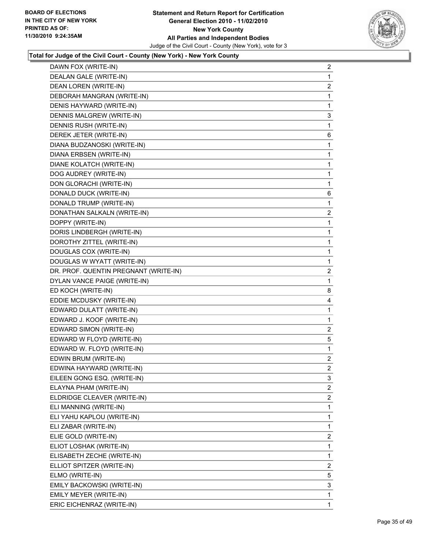

| DAWN FOX (WRITE-IN)                   | 2              |
|---------------------------------------|----------------|
| DEALAN GALE (WRITE-IN)                | 1              |
| DEAN LOREN (WRITE-IN)                 | $\overline{c}$ |
| DEBORAH MANGRAN (WRITE-IN)            | 1              |
| DENIS HAYWARD (WRITE-IN)              | 1              |
| DENNIS MALGREW (WRITE-IN)             | 3              |
| DENNIS RUSH (WRITE-IN)                | 1              |
| DEREK JETER (WRITE-IN)                | 6              |
| DIANA BUDZANOSKI (WRITE-IN)           | 1              |
| DIANA ERBSEN (WRITE-IN)               | 1              |
| DIANE KOLATCH (WRITE-IN)              | 1              |
| DOG AUDREY (WRITE-IN)                 | 1              |
| DON GLORACHI (WRITE-IN)               | 1              |
| DONALD DUCK (WRITE-IN)                | 6              |
| DONALD TRUMP (WRITE-IN)               | 1              |
| DONATHAN SALKALN (WRITE-IN)           | 2              |
| DOPPY (WRITE-IN)                      | 1              |
| DORIS LINDBERGH (WRITE-IN)            | 1              |
| DOROTHY ZITTEL (WRITE-IN)             | 1              |
| DOUGLAS COX (WRITE-IN)                | 1              |
| DOUGLAS W WYATT (WRITE-IN)            | 1              |
| DR. PROF. QUENTIN PREGNANT (WRITE-IN) | 2              |
| DYLAN VANCE PAIGE (WRITE-IN)          | 1              |
| ED KOCH (WRITE-IN)                    | 8              |
| EDDIE MCDUSKY (WRITE-IN)              | 4              |
| EDWARD DULATT (WRITE-IN)              | 1              |
| EDWARD J. KOOF (WRITE-IN)             | 1              |
| EDWARD SIMON (WRITE-IN)               | 2              |
| EDWARD W FLOYD (WRITE-IN)             | 5              |
| EDWARD W. FLOYD (WRITE-IN)            | 1              |
| EDWIN BRUM (WRITE-IN)                 | $\overline{2}$ |
| EDWINA HAYWARD (WRITE-IN)             | $\mathbf{2}$   |
| EILEEN GONG ESQ. (WRITE-IN)           | 3              |
| ELAYNA PHAM (WRITE-IN)                | $\overline{2}$ |
| ELDRIDGE CLEAVER (WRITE-IN)           | $\overline{2}$ |
| ELI MANNING (WRITE-IN)                | 1              |
| ELI YAHU KAPLOU (WRITE-IN)            | 1              |
| ELI ZABAR (WRITE-IN)                  | 1              |
| ELIE GOLD (WRITE-IN)                  | 2              |
| ELIOT LOSHAK (WRITE-IN)               | 1              |
| ELISABETH ZECHE (WRITE-IN)            | 1              |
| ELLIOT SPITZER (WRITE-IN)             | $\overline{2}$ |
| ELMO (WRITE-IN)                       | 5              |
| EMILY BACKOWSKI (WRITE-IN)            | 3              |
| EMILY MEYER (WRITE-IN)                | 1              |
| ERIC EICHENRAZ (WRITE-IN)             | 1              |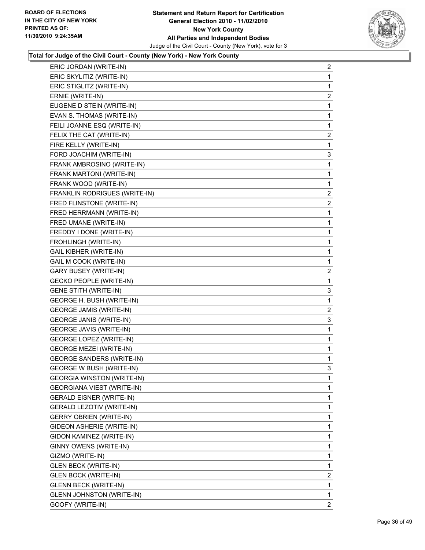

| ERIC JORDAN (WRITE-IN)            | 2              |
|-----------------------------------|----------------|
| ERIC SKYLITIZ (WRITE-IN)          | 1              |
| ERIC STIGLITZ (WRITE-IN)          | 1              |
| ERNIE (WRITE-IN)                  | $\overline{2}$ |
| EUGENE D STEIN (WRITE-IN)         | 1              |
| EVAN S. THOMAS (WRITE-IN)         | 1              |
| FEILI JOANNE ESQ (WRITE-IN)       | 1              |
| FELIX THE CAT (WRITE-IN)          | $\overline{2}$ |
| FIRE KELLY (WRITE-IN)             | 1              |
| FORD JOACHIM (WRITE-IN)           | 3              |
| FRANK AMBROSINO (WRITE-IN)        | 1              |
| FRANK MARTONI (WRITE-IN)          | 1              |
| FRANK WOOD (WRITE-IN)             | 1              |
| FRANKLIN RODRIGUES (WRITE-IN)     | $\overline{2}$ |
| FRED FLINSTONE (WRITE-IN)         | $\mathbf{2}$   |
| FRED HERRMANN (WRITE-IN)          | 1              |
| FRED UMANE (WRITE-IN)             | 1              |
| FREDDY I DONE (WRITE-IN)          | 1              |
| FROHLINGH (WRITE-IN)              | 1              |
| <b>GAIL KIBHER (WRITE-IN)</b>     | 1              |
| GAIL M COOK (WRITE-IN)            | 1              |
| <b>GARY BUSEY (WRITE-IN)</b>      | $\overline{2}$ |
| <b>GECKO PEOPLE (WRITE-IN)</b>    | 1              |
| <b>GENE STITH (WRITE-IN)</b>      | 3              |
| GEORGE H. BUSH (WRITE-IN)         | 1              |
| <b>GEORGE JAMIS (WRITE-IN)</b>    | $\mathbf{2}$   |
| <b>GEORGE JANIS (WRITE-IN)</b>    | 3              |
| <b>GEORGE JAVIS (WRITE-IN)</b>    | 1              |
| <b>GEORGE LOPEZ (WRITE-IN)</b>    | 1              |
| <b>GEORGE MEZEI (WRITE-IN)</b>    | 1              |
| <b>GEORGE SANDERS (WRITE-IN)</b>  | 1              |
| <b>GEORGE W BUSH (WRITE-IN)</b>   | 3              |
| <b>GEORGIA WINSTON (WRITE-IN)</b> | 1              |
| GEORGIANA VIEST (WRITE-IN)        | 1              |
| GERALD EISNER (WRITE-IN)          | 1              |
| GERALD LEZOTIV (WRITE-IN)         | 1              |
| <b>GERRY OBRIEN (WRITE-IN)</b>    | 1              |
| GIDEON ASHERIE (WRITE-IN)         | 1              |
| GIDON KAMINEZ (WRITE-IN)          | 1              |
| GINNY OWENS (WRITE-IN)            | 1              |
| GIZMO (WRITE-IN)                  | 1              |
| <b>GLEN BECK (WRITE-IN)</b>       | 1              |
| <b>GLEN BOCK (WRITE-IN)</b>       | $\overline{2}$ |
| <b>GLENN BECK (WRITE-IN)</b>      | 1              |
| <b>GLENN JOHNSTON (WRITE-IN)</b>  | 1              |
| GOOFY (WRITE-IN)                  | 2              |
|                                   |                |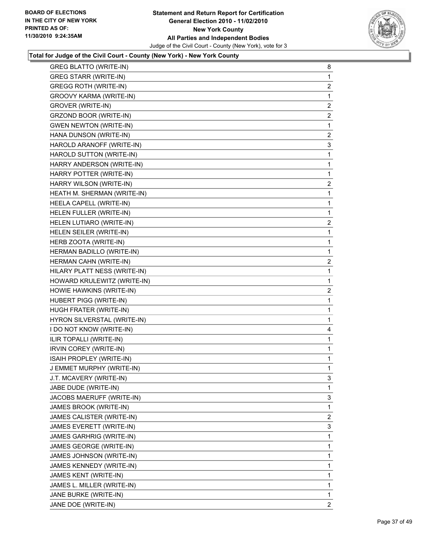

| <b>GREG BLATTO (WRITE-IN)</b> | 8              |
|-------------------------------|----------------|
| <b>GREG STARR (WRITE-IN)</b>  | $\mathbf{1}$   |
| <b>GREGG ROTH (WRITE-IN)</b>  | $\mathbf{2}$   |
| GROOVY KARMA (WRITE-IN)       | 1              |
| GROVER (WRITE-IN)             | 2              |
| GRZOND BOOR (WRITE-IN)        | $\mathbf{2}$   |
| <b>GWEN NEWTON (WRITE-IN)</b> | 1              |
| HANA DUNSON (WRITE-IN)        | $\mathbf{2}$   |
| HAROLD ARANOFF (WRITE-IN)     | 3              |
| HAROLD SUTTON (WRITE-IN)      | 1              |
| HARRY ANDERSON (WRITE-IN)     | 1              |
| HARRY POTTER (WRITE-IN)       | 1              |
| HARRY WILSON (WRITE-IN)       | 2              |
| HEATH M. SHERMAN (WRITE-IN)   | 1              |
| HEELA CAPELL (WRITE-IN)       | 1              |
| HELEN FULLER (WRITE-IN)       | 1              |
| HELEN LUTIARO (WRITE-IN)      | 2              |
| HELEN SEILER (WRITE-IN)       | 1              |
| HERB ZOOTA (WRITE-IN)         | 1              |
| HERMAN BADILLO (WRITE-IN)     | 1              |
| HERMAN CAHN (WRITE-IN)        | $\mathbf{2}$   |
| HILARY PLATT NESS (WRITE-IN)  | 1              |
| HOWARD KRULEWITZ (WRITE-IN)   | 1              |
| HOWIE HAWKINS (WRITE-IN)      | $\mathbf{2}$   |
| HUBERT PIGG (WRITE-IN)        | 1              |
| HUGH FRATER (WRITE-IN)        | 1              |
| HYRON SILVERSTAL (WRITE-IN)   | 1              |
| I DO NOT KNOW (WRITE-IN)      | 4              |
| ILIR TOPALLI (WRITE-IN)       | 1              |
| IRVIN COREY (WRITE-IN)        | 1              |
| ISAIH PROPLEY (WRITE-IN)      | 1              |
| J EMMET MURPHY (WRITE-IN)     | 1              |
| J.T. MCAVERY (WRITE-IN)       | 3              |
| JABE DUDE (WRITE-IN)          | 1              |
| JACOBS MAERUFF (WRITE-IN)     | 3              |
| JAMES BROOK (WRITE-IN)        | 1              |
| JAMES CALISTER (WRITE-IN)     | $\overline{2}$ |
| JAMES EVERETT (WRITE-IN)      | 3              |
| JAMES GARHRIG (WRITE-IN)      | 1              |
| JAMES GEORGE (WRITE-IN)       | 1              |
| JAMES JOHNSON (WRITE-IN)      | 1              |
| JAMES KENNEDY (WRITE-IN)      | 1              |
| JAMES KENT (WRITE-IN)         | 1              |
| JAMES L. MILLER (WRITE-IN)    | 1              |
| JANE BURKE (WRITE-IN)         | 1              |
| JANE DOE (WRITE-IN)           | $\overline{2}$ |
|                               |                |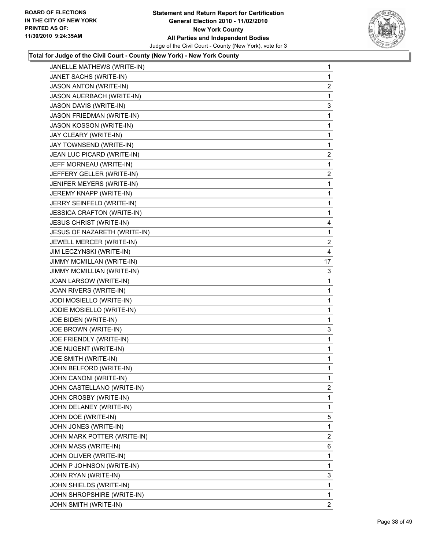

| JANELLE MATHEWS (WRITE-IN)       | 1              |
|----------------------------------|----------------|
| JANET SACHS (WRITE-IN)           | $\mathbf 1$    |
| <b>JASON ANTON (WRITE-IN)</b>    | 2              |
| JASON AUERBACH (WRITE-IN)        | 1              |
| JASON DAVIS (WRITE-IN)           | 3              |
| <b>JASON FRIEDMAN (WRITE-IN)</b> | 1              |
| <b>JASON KOSSON (WRITE-IN)</b>   | 1              |
| JAY CLEARY (WRITE-IN)            | 1              |
| JAY TOWNSEND (WRITE-IN)          | 1              |
| JEAN LUC PICARD (WRITE-IN)       | 2              |
| JEFF MORNEAU (WRITE-IN)          | 1              |
| JEFFERY GELLER (WRITE-IN)        | $\overline{2}$ |
| JENIFER MEYERS (WRITE-IN)        | 1              |
| JEREMY KNAPP (WRITE-IN)          | 1              |
| JERRY SEINFELD (WRITE-IN)        | 1              |
| JESSICA CRAFTON (WRITE-IN)       | 1              |
| <b>JESUS CHRIST (WRITE-IN)</b>   | 4              |
| JESUS OF NAZARETH (WRITE-IN)     | 1              |
| JEWELL MERCER (WRITE-IN)         | 2              |
| JIM LECZYNSKI (WRITE-IN)         | 4              |
| <b>JIMMY MCMILLAN (WRITE-IN)</b> | 17             |
| JIMMY MCMILLIAN (WRITE-IN)       | 3              |
| JOAN LARSOW (WRITE-IN)           | 1              |
| JOAN RIVERS (WRITE-IN)           | 1              |
| JODI MOSIELLO (WRITE-IN)         | 1              |
| JODIE MOSIELLO (WRITE-IN)        | 1              |
| JOE BIDEN (WRITE-IN)             | 1              |
| JOE BROWN (WRITE-IN)             | 3              |
| JOE FRIENDLY (WRITE-IN)          | 1              |
| JOE NUGENT (WRITE-IN)            | 1              |
| JOE SMITH (WRITE-IN)             | 1              |
| JOHN BELFORD (WRITE-IN)          | 1              |
| JOHN CANONI (WRITE-IN)           | 1              |
| JOHN CASTELLANO (WRITE-IN)       | $\overline{2}$ |
| JOHN CROSBY (WRITE-IN)           | 1              |
| JOHN DELANEY (WRITE-IN)          | 1              |
| JOHN DOE (WRITE-IN)              | 5              |
| JOHN JONES (WRITE-IN)            | 1              |
| JOHN MARK POTTER (WRITE-IN)      | $\overline{c}$ |
| JOHN MASS (WRITE-IN)             | 6              |
| JOHN OLIVER (WRITE-IN)           | 1              |
| JOHN P JOHNSON (WRITE-IN)        | 1              |
| JOHN RYAN (WRITE-IN)             | 3              |
| JOHN SHIELDS (WRITE-IN)          | $\mathbf{1}$   |
| JOHN SHROPSHIRE (WRITE-IN)       | 1              |
| JOHN SMITH (WRITE-IN)            | $\overline{2}$ |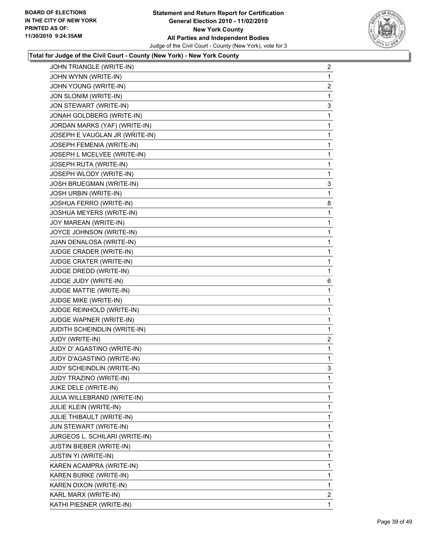

| JOHN TRIANGLE (WRITE-IN)        | $\overline{c}$ |
|---------------------------------|----------------|
| JOHN WYNN (WRITE-IN)            | 1              |
| JOHN YOUNG (WRITE-IN)           | 2              |
| JON SLONIM (WRITE-IN)           | 1              |
| JON STEWART (WRITE-IN)          | 3              |
| JONAH GOLDBERG (WRITE-IN)       | 1              |
| JORDAN MARKS (YAF) (WRITE-IN)   | 1              |
| JOSEPH E VAUGLAN JR (WRITE-IN)  | 1              |
| JOSEPH FEMENIA (WRITE-IN)       | 1              |
| JOSEPH L MCELVEE (WRITE-IN)     | 1              |
| JOSEPH RUTA (WRITE-IN)          | 1              |
| JOSEPH WLODY (WRITE-IN)         | 1              |
| JOSH BRUEGMAN (WRITE-IN)        | 3              |
| <b>JOSH URBIN (WRITE-IN)</b>    | 1              |
| JOSHUA FERRO (WRITE-IN)         | 8              |
| JOSHUA MEYERS (WRITE-IN)        | 1              |
| JOY MAREAN (WRITE-IN)           | 1              |
| JOYCE JOHNSON (WRITE-IN)        | 1              |
| JUAN DENALOSA (WRITE-IN)        | 1              |
| JUDGE CRADER (WRITE-IN)         | 1              |
| JUDGE CRATER (WRITE-IN)         | 1              |
| JUDGE DREDD (WRITE-IN)          | 1              |
| JUDGE JUDY (WRITE-IN)           | 6              |
| JUDGE MATTIE (WRITE-IN)         | 1              |
| JUDGE MIKE (WRITE-IN)           | 1              |
| JUDGE REINHOLD (WRITE-IN)       | 1              |
| JUDGE WAPNER (WRITE-IN)         | 1              |
| JUDITH SCHEINDLIN (WRITE-IN)    | 1              |
| JUDY (WRITE-IN)                 | $\overline{a}$ |
| JUDY D' AGASTINO (WRITE-IN)     | 1              |
| JUDY D'AGASTINO (WRITE-IN)      | 1              |
| JUDY SCHEINDLIN (WRITE-IN)      | 3              |
| JUDY TRAZINO (WRITE-IN)         | 1              |
| JUKE DELE (WRITE-IN)            | 1              |
| JULIA WILLEBRAND (WRITE-IN)     | 1              |
| <b>JULIE KLEIN (WRITE-IN)</b>   | 1              |
| JULIE THIBAULT (WRITE-IN)       | 1              |
| JUN STEWART (WRITE-IN)          | 1              |
| JURGEOS L. SCHILARI (WRITE-IN)  | 1              |
| <b>JUSTIN BIEBER (WRITE-IN)</b> | 1              |
| <b>JUSTIN YI (WRITE-IN)</b>     | 1              |
| KAREN ACAMPRA (WRITE-IN)        | 1              |
| KAREN BURKE (WRITE-IN)          | 1              |
| KAREN DIXON (WRITE-IN)          | 1              |
| KARL MARX (WRITE-IN)            | $\overline{2}$ |
| KATHI PIESNER (WRITE-IN)        | 1              |
|                                 |                |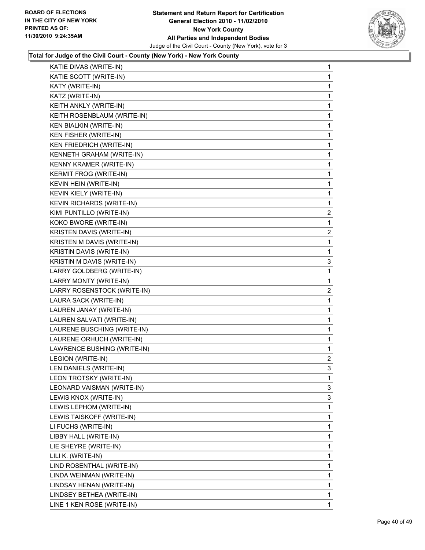

| KATIE DIVAS (WRITE-IN)           | 1              |
|----------------------------------|----------------|
| KATIE SCOTT (WRITE-IN)           | 1              |
| KATY (WRITE-IN)                  | 1              |
| KATZ (WRITE-IN)                  | 1              |
| KEITH ANKLY (WRITE-IN)           | 1              |
| KEITH ROSENBLAUM (WRITE-IN)      | 1              |
| <b>KEN BIALKIN (WRITE-IN)</b>    | 1              |
| KEN FISHER (WRITE-IN)            | 1              |
| KEN FRIEDRICH (WRITE-IN)         | 1              |
| KENNETH GRAHAM (WRITE-IN)        | 1              |
| KENNY KRAMER (WRITE-IN)          | 1              |
| <b>KERMIT FROG (WRITE-IN)</b>    | 1              |
| KEVIN HEIN (WRITE-IN)            | 1              |
| KEVIN KIELY (WRITE-IN)           | 1              |
| <b>KEVIN RICHARDS (WRITE-IN)</b> | 1              |
| KIMI PUNTILLO (WRITE-IN)         | $\overline{c}$ |
| KOKO BWORE (WRITE-IN)            | 1              |
| KRISTEN DAVIS (WRITE-IN)         | 2              |
| KRISTEN M DAVIS (WRITE-IN)       | 1              |
| KRISTIN DAVIS (WRITE-IN)         | 1              |
| KRISTIN M DAVIS (WRITE-IN)       | 3              |
| LARRY GOLDBERG (WRITE-IN)        | 1              |
| LARRY MONTY (WRITE-IN)           | 1              |
| LARRY ROSENSTOCK (WRITE-IN)      | 2              |
| LAURA SACK (WRITE-IN)            | 1              |
| LAUREN JANAY (WRITE-IN)          | 1              |
| LAUREN SALVATI (WRITE-IN)        | 1              |
| LAURENE BUSCHING (WRITE-IN)      | 1              |
| LAURENE ORHUCH (WRITE-IN)        | 1              |
| LAWRENCE BUSHING (WRITE-IN)      | 1              |
| LEGION (WRITE-IN)                | $\mathbf{2}$   |
| LEN DANIELS (WRITE-IN)           | 3              |
| LEON TROTSKY (WRITE-IN)          | 1              |
| LEONARD VAISMAN (WRITE-IN)       | 3              |
| LEWIS KNOX (WRITE-IN)            | 3              |
| LEWIS LEPHOM (WRITE-IN)          | 1              |
| LEWIS TAISKOFF (WRITE-IN)        | 1              |
| LI FUCHS (WRITE-IN)              | 1              |
| LIBBY HALL (WRITE-IN)            | 1              |
| LIE SHEYRE (WRITE-IN)            | 1              |
| LILI K. (WRITE-IN)               | 1              |
| LIND ROSENTHAL (WRITE-IN)        | 1              |
| LINDA WEINMAN (WRITE-IN)         | 1              |
| LINDSAY HENAN (WRITE-IN)         | 1              |
| LINDSEY BETHEA (WRITE-IN)        | 1              |
| LINE 1 KEN ROSE (WRITE-IN)       | 1              |
|                                  |                |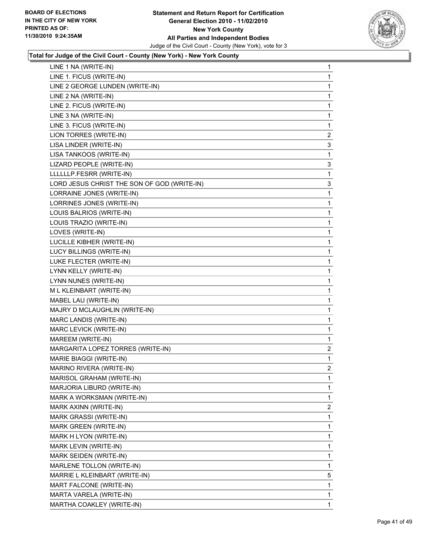

| LINE 1 NA (WRITE-IN)                        | 1            |
|---------------------------------------------|--------------|
| LINE 1. FICUS (WRITE-IN)                    | 1            |
| LINE 2 GEORGE LUNDEN (WRITE-IN)             | 1            |
| LINE 2 NA (WRITE-IN)                        | 1            |
| LINE 2. FICUS (WRITE-IN)                    | 1            |
| LINE 3 NA (WRITE-IN)                        | 1            |
| LINE 3. FICUS (WRITE-IN)                    | 1            |
| LION TORRES (WRITE-IN)                      | 2            |
| LISA LINDER (WRITE-IN)                      | 3            |
| LISA TANKOOS (WRITE-IN)                     | 1            |
| LIZARD PEOPLE (WRITE-IN)                    | 3            |
| LLLLLLP.FESRR (WRITE-IN)                    | 1            |
| LORD JESUS CHRIST THE SON OF GOD (WRITE-IN) | 3            |
| LORRAINE JONES (WRITE-IN)                   | 1            |
| LORRINES JONES (WRITE-IN)                   | 1            |
| LOUIS BALRIOS (WRITE-IN)                    | 1            |
| LOUIS TRAZIO (WRITE-IN)                     | 1            |
| LOVES (WRITE-IN)                            | 1            |
| LUCILLE KIBHER (WRITE-IN)                   | 1            |
| LUCY BILLINGS (WRITE-IN)                    | 1            |
| LUKE FLECTER (WRITE-IN)                     | 1            |
| LYNN KELLY (WRITE-IN)                       | 1            |
| LYNN NUNES (WRITE-IN)                       | 1            |
| M L KLEINBART (WRITE-IN)                    | 1            |
| MABEL LAU (WRITE-IN)                        | 1            |
| MAJRY D MCLAUGHLIN (WRITE-IN)               | 1            |
| MARC LANDIS (WRITE-IN)                      | 1            |
| MARC LEVICK (WRITE-IN)                      | 1            |
| MAREEM (WRITE-IN)                           | 1            |
| MARGARITA LOPEZ TORRES (WRITE-IN)           | $\mathbf{2}$ |
| MARIE BIAGGI (WRITE-IN)                     | 1            |
| MARINO RIVERA (WRITE-IN)                    | 2            |
| MARISOL GRAHAM (WRITE-IN)                   | 1            |
| MARJORIA LIBURD (WRITE-IN)                  | 1            |
| MARK A WORKSMAN (WRITE-IN)                  | 1            |
| MARK AXINN (WRITE-IN)                       | 2            |
| MARK GRASSI (WRITE-IN)                      | 1            |
| MARK GREEN (WRITE-IN)                       | 1            |
| MARK H LYON (WRITE-IN)                      | 1            |
| MARK LEVIN (WRITE-IN)                       | 1            |
| MARK SEIDEN (WRITE-IN)                      | 1            |
| MARLENE TOLLON (WRITE-IN)                   | 1            |
| MARRIE L KLEINBART (WRITE-IN)               | 5            |
| MART FALCONE (WRITE-IN)                     | 1            |
| MARTA VARELA (WRITE-IN)                     | 1            |
| MARTHA COAKLEY (WRITE-IN)                   | 1            |
|                                             |              |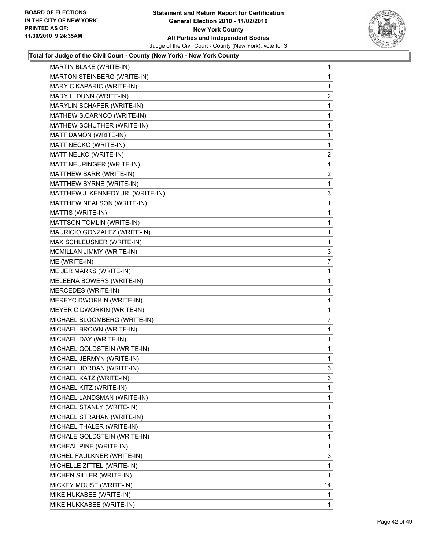

| MARTIN BLAKE (WRITE-IN)           | 1            |
|-----------------------------------|--------------|
| MARTON STEINBERG (WRITE-IN)       | 1            |
| MARY C KAPARIC (WRITE-IN)         | 1            |
| MARY L. DUNN (WRITE-IN)           | 2            |
| MARYLIN SCHAFER (WRITE-IN)        | 1            |
| MATHEW S.CARNCO (WRITE-IN)        | 1            |
| MATHEW SCHUTHER (WRITE-IN)        | 1            |
| MATT DAMON (WRITE-IN)             | 1            |
| MATT NECKO (WRITE-IN)             | 1            |
| MATT NELKO (WRITE-IN)             | 2            |
| MATT NEURINGER (WRITE-IN)         | 1            |
| MATTHEW BARR (WRITE-IN)           | 2            |
| MATTHEW BYRNE (WRITE-IN)          | 1            |
| MATTHEW J. KENNEDY JR. (WRITE-IN) | 3            |
| MATTHEW NEALSON (WRITE-IN)        | 1            |
| MATTIS (WRITE-IN)                 | 1            |
| MATTSON TOMLIN (WRITE-IN)         | 1            |
| MAURICIO GONZALEZ (WRITE-IN)      | 1            |
| MAX SCHLEUSNER (WRITE-IN)         | 1            |
| MCMILLAN JIMMY (WRITE-IN)         | 3            |
| ME (WRITE-IN)                     | 7            |
| MEIJER MARKS (WRITE-IN)           | 1            |
| MELEENA BOWERS (WRITE-IN)         | 1            |
| MERCEDES (WRITE-IN)               | 1            |
| MEREYC DWORKIN (WRITE-IN)         | 1            |
| MEYER C DWORKIN (WRITE-IN)        | $\mathbf 1$  |
| MICHAEL BLOOMBERG (WRITE-IN)      | 7            |
| MICHAEL BROWN (WRITE-IN)          | 1            |
| MICHAEL DAY (WRITE-IN)            | 1            |
| MICHAEL GOLDSTEIN (WRITE-IN)      | 1            |
| MICHAEL JERMYN (WRITE-IN)         | 1            |
| MICHAEL JORDAN (WRITE-IN)         | 3            |
| MICHAEL KATZ (WRITE-IN)           | 3            |
| MICHAEL KITZ (WRITE-IN)           | 1            |
| MICHAEL LANDSMAN (WRITE-IN)       | 1            |
| MICHAEL STANLY (WRITE-IN)         | 1            |
| MICHAEL STRAHAN (WRITE-IN)        | 1            |
| MICHAEL THALER (WRITE-IN)         | 1            |
| MICHALE GOLDSTEIN (WRITE-IN)      | 1            |
| MICHEAL PINE (WRITE-IN)           | 1            |
| MICHEL FAULKNER (WRITE-IN)        | 3            |
| MICHELLE ZITTEL (WRITE-IN)        | 1            |
| MICHEN SILLER (WRITE-IN)          | 1            |
| MICKEY MOUSE (WRITE-IN)           | 14           |
| MIKE HUKABEE (WRITE-IN)           | 1            |
| MIKE HUKKABEE (WRITE-IN)          | $\mathbf{1}$ |
|                                   |              |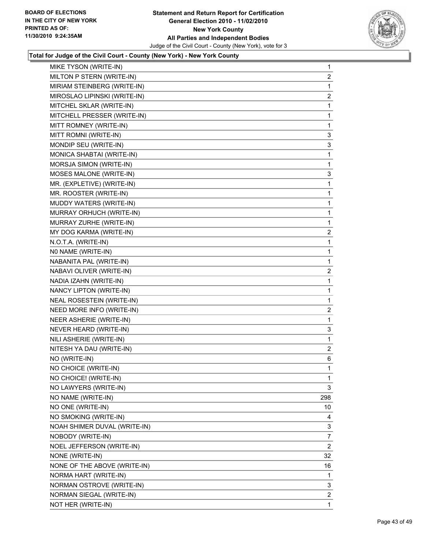

| MIKE TYSON (WRITE-IN)        | 1              |
|------------------------------|----------------|
| MILTON P STERN (WRITE-IN)    | 2              |
| MIRIAM STEINBERG (WRITE-IN)  | 1              |
| MIROSLAO LIPINSKI (WRITE-IN) | 2              |
| MITCHEL SKLAR (WRITE-IN)     | 1              |
| MITCHELL PRESSER (WRITE-IN)  | 1              |
| MITT ROMNEY (WRITE-IN)       | 1              |
| MITT ROMNI (WRITE-IN)        | 3              |
| MONDIP SEU (WRITE-IN)        | 3              |
| MONICA SHABTAI (WRITE-IN)    | 1              |
| MORSJA SIMON (WRITE-IN)      | 1              |
| MOSES MALONE (WRITE-IN)      | 3              |
| MR. (EXPLETIVE) (WRITE-IN)   | 1              |
| MR. ROOSTER (WRITE-IN)       | 1              |
| MUDDY WATERS (WRITE-IN)      | 1              |
| MURRAY ORHUCH (WRITE-IN)     | 1              |
| MURRAY ZURHE (WRITE-IN)      | 1              |
| MY DOG KARMA (WRITE-IN)      | $\overline{a}$ |
| N.O.T.A. (WRITE-IN)          | 1              |
| NO NAME (WRITE-IN)           | 1              |
| NABANITA PAL (WRITE-IN)      | 1              |
| NABAVI OLIVER (WRITE-IN)     | 2              |
| NADIA IZAHN (WRITE-IN)       | 1              |
| NANCY LIPTON (WRITE-IN)      | 1              |
| NEAL ROSESTEIN (WRITE-IN)    | 1              |
| NEED MORE INFO (WRITE-IN)    | $\overline{2}$ |
| NEER ASHERIE (WRITE-IN)      | 1              |
| NEVER HEARD (WRITE-IN)       | 3              |
| NILI ASHERIE (WRITE-IN)      | 1              |
| NITESH YA DAU (WRITE-IN)     | 2              |
| NO (WRITE-IN)                | 6              |
| NO CHOICE (WRITE-IN)         | 1              |
| NO CHOICE! (WRITE-IN)        | 1              |
| NO LAWYERS (WRITE-IN)        | 3              |
| NO NAME (WRITE-IN)           | 298            |
| NO ONE (WRITE-IN)            | 10             |
| NO SMOKING (WRITE-IN)        | 4              |
| NOAH SHIMER DUVAL (WRITE-IN) | 3              |
| NOBODY (WRITE-IN)            | 7              |
| NOEL JEFFERSON (WRITE-IN)    | 2              |
| NONE (WRITE-IN)              | 32             |
| NONE OF THE ABOVE (WRITE-IN) | 16             |
| NORMA HART (WRITE-IN)        | 1              |
| NORMAN OSTROVE (WRITE-IN)    | 3              |
| NORMAN SIEGAL (WRITE-IN)     | 2              |
| NOT HER (WRITE-IN)           | 1              |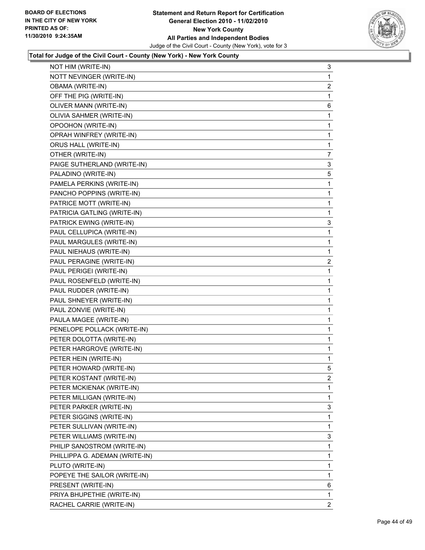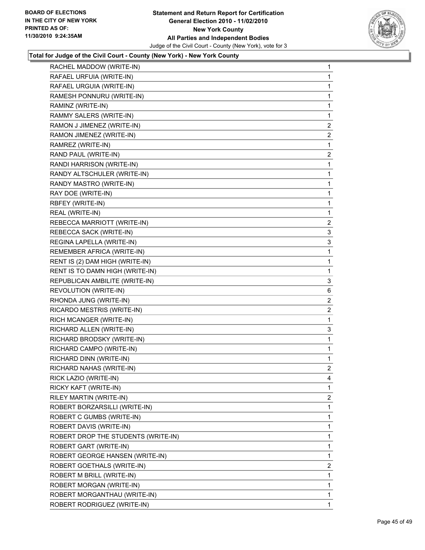

| RACHEL MADDOW (WRITE-IN)            | 1              |
|-------------------------------------|----------------|
| RAFAEL URFUIA (WRITE-IN)            | $\mathbf{1}$   |
| RAFAEL URGUIA (WRITE-IN)            | 1              |
| RAMESH PONNURU (WRITE-IN)           | 1              |
| RAMINZ (WRITE-IN)                   | 1              |
| RAMMY SALERS (WRITE-IN)             | 1              |
| RAMON J JIMENEZ (WRITE-IN)          | 2              |
| RAMON JIMENEZ (WRITE-IN)            | $\overline{2}$ |
| RAMREZ (WRITE-IN)                   | 1              |
| RAND PAUL (WRITE-IN)                | 2              |
| RANDI HARRISON (WRITE-IN)           | 1              |
| RANDY ALTSCHULER (WRITE-IN)         | 1              |
| RANDY MASTRO (WRITE-IN)             | 1              |
| RAY DOE (WRITE-IN)                  | 1              |
| RBFEY (WRITE-IN)                    | 1              |
| REAL (WRITE-IN)                     | 1              |
| REBECCA MARRIOTT (WRITE-IN)         | 2              |
| REBECCA SACK (WRITE-IN)             | 3              |
| REGINA LAPELLA (WRITE-IN)           | 3              |
| REMEMBER AFRICA (WRITE-IN)          | 1              |
| RENT IS (2) DAM HIGH (WRITE-IN)     | 1              |
| RENT IS TO DAMN HIGH (WRITE-IN)     | 1              |
| REPUBLICAN AMBILITE (WRITE-IN)      | 3              |
| REVOLUTION (WRITE-IN)               | 6              |
| RHONDA JUNG (WRITE-IN)              | 2              |
| RICARDO MESTRIS (WRITE-IN)          | $\overline{2}$ |
| RICH MCANGER (WRITE-IN)             | 1              |
| RICHARD ALLEN (WRITE-IN)            | 3              |
| RICHARD BRODSKY (WRITE-IN)          | 1              |
| RICHARD CAMPO (WRITE-IN)            | 1              |
| RICHARD DINN (WRITE-IN)             | 1              |
| RICHARD NAHAS (WRITE-IN)            | $\overline{2}$ |
| RICK LAZIO (WRITE-IN)               | 4              |
| RICKY KAFT (WRITE-IN)               | 1              |
| RILEY MARTIN (WRITE-IN)             | $\overline{2}$ |
| ROBERT BORZARSILLI (WRITE-IN)       | 1              |
| ROBERT C GUMBS (WRITE-IN)           | 1              |
| ROBERT DAVIS (WRITE-IN)             | 1              |
| ROBERT DROP THE STUDENTS (WRITE-IN) | 1              |
| ROBERT GART (WRITE-IN)              | 1              |
| ROBERT GEORGE HANSEN (WRITE-IN)     | 1              |
| ROBERT GOETHALS (WRITE-IN)          | $\overline{2}$ |
| ROBERT M BRILL (WRITE-IN)           | 1              |
| ROBERT MORGAN (WRITE-IN)            | 1              |
| ROBERT MORGANTHAU (WRITE-IN)        | 1              |
| ROBERT RODRIGUEZ (WRITE-IN)         | $\mathbf{1}$   |
|                                     |                |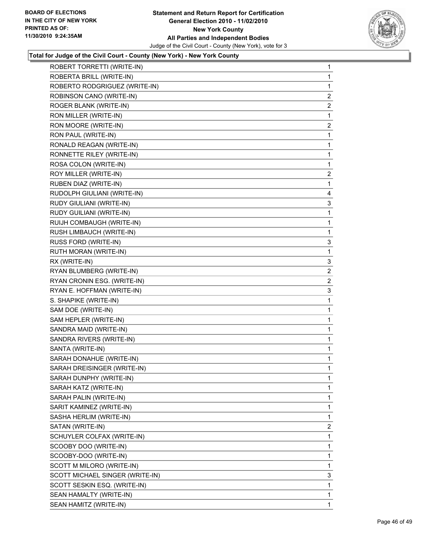

| ROBERT TORRETTI (WRITE-IN)      | 1              |
|---------------------------------|----------------|
| ROBERTA BRILL (WRITE-IN)        | 1              |
| ROBERTO RODGRIGUEZ (WRITE-IN)   | 1              |
| ROBINSON CANO (WRITE-IN)        | 2              |
| ROGER BLANK (WRITE-IN)          | $\overline{2}$ |
| RON MILLER (WRITE-IN)           | 1              |
| RON MOORE (WRITE-IN)            | $\mathbf{2}$   |
| RON PAUL (WRITE-IN)             | 1              |
| RONALD REAGAN (WRITE-IN)        | 1              |
| RONNETTE RILEY (WRITE-IN)       | 1              |
| ROSA COLON (WRITE-IN)           | 1              |
| ROY MILLER (WRITE-IN)           | 2              |
| RUBEN DIAZ (WRITE-IN)           | 1              |
| RUDOLPH GIULIANI (WRITE-IN)     | 4              |
| RUDY GIULIANI (WRITE-IN)        | 3              |
| RUDY GUILIANI (WRITE-IN)        | 1              |
| RUIJH COMBAUGH (WRITE-IN)       | 1              |
| RUSH LIMBAUCH (WRITE-IN)        | 1              |
| RUSS FORD (WRITE-IN)            | 3              |
| RUTH MORAN (WRITE-IN)           | 1              |
| RX (WRITE-IN)                   | 3              |
| RYAN BLUMBERG (WRITE-IN)        | 2              |
| RYAN CRONIN ESG. (WRITE-IN)     | $\overline{2}$ |
| RYAN E. HOFFMAN (WRITE-IN)      | 3              |
| S. SHAPIKE (WRITE-IN)           | 1              |
| SAM DOE (WRITE-IN)              | 1              |
| SAM HEPLER (WRITE-IN)           | 1              |
| SANDRA MAID (WRITE-IN)          | 1              |
| SANDRA RIVERS (WRITE-IN)        | 1              |
| SANTA (WRITE-IN)                | 1              |
| SARAH DONAHUE (WRITE-IN)        | 1              |
| SARAH DREISINGER (WRITE-IN)     | 1              |
| SARAH DUNPHY (WRITE-IN)         | 1              |
| SARAH KATZ (WRITE-IN)           | 1              |
| SARAH PALIN (WRITE-IN)          | 1              |
| SARIT KAMINEZ (WRITE-IN)        | 1              |
| SASHA HERLIM (WRITE-IN)         | 1              |
| SATAN (WRITE-IN)                | $\overline{2}$ |
| SCHUYLER COLFAX (WRITE-IN)      | 1              |
| SCOOBY DOO (WRITE-IN)           | 1              |
| SCOOBY-DOO (WRITE-IN)           | 1              |
| SCOTT M MILORO (WRITE-IN)       | 1              |
| SCOTT MICHAEL SINGER (WRITE-IN) | 3              |
| SCOTT SESKIN ESQ. (WRITE-IN)    | 1              |
| SEAN HAMALTY (WRITE-IN)         | 1              |
| SEAN HAMITZ (WRITE-IN)          | $\mathbf{1}$   |
|                                 |                |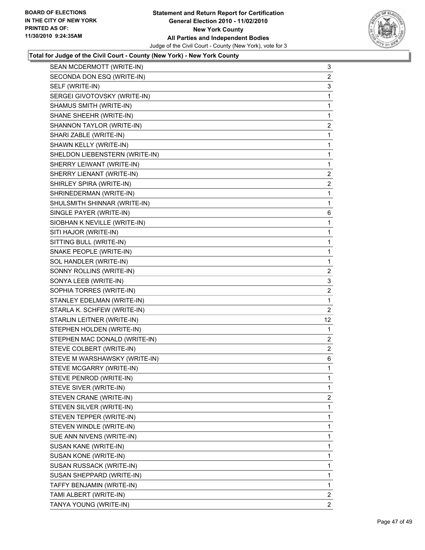

| SEAN MCDERMOTT (WRITE-IN)      | 3              |
|--------------------------------|----------------|
| SECONDA DON ESQ (WRITE-IN)     | 2              |
| SELF (WRITE-IN)                | 3              |
| SERGEI GIVOTOVSKY (WRITE-IN)   | 1              |
| SHAMUS SMITH (WRITE-IN)        | $\mathbf{1}$   |
| SHANE SHEEHR (WRITE-IN)        | 1              |
| SHANNON TAYLOR (WRITE-IN)      | 2              |
| SHARI ZABLE (WRITE-IN)         | 1              |
| SHAWN KELLY (WRITE-IN)         | 1              |
| SHELDON LIEBENSTERN (WRITE-IN) | 1              |
| SHERRY LEIWANT (WRITE-IN)      | 1              |
| SHERRY LIENANT (WRITE-IN)      | 2              |
| SHIRLEY SPIRA (WRITE-IN)       | 2              |
| SHRINEDERMAN (WRITE-IN)        | 1              |
| SHULSMITH SHINNAR (WRITE-IN)   | 1              |
| SINGLE PAYER (WRITE-IN)        | 6              |
| SIOBHAN K NEVILLE (WRITE-IN)   | $\mathbf{1}$   |
| SITI HAJOR (WRITE-IN)          | 1              |
| SITTING BULL (WRITE-IN)        | 1              |
| SNAKE PEOPLE (WRITE-IN)        | 1              |
| SOL HANDLER (WRITE-IN)         | 1              |
| SONNY ROLLINS (WRITE-IN)       | $\mathbf{2}$   |
| SONYA LEEB (WRITE-IN)          | 3              |
| SOPHIA TORRES (WRITE-IN)       | 2              |
| STANLEY EDELMAN (WRITE-IN)     | 1              |
| STARLA K. SCHFEW (WRITE-IN)    | $\overline{2}$ |
| STARLIN LEITNER (WRITE-IN)     | 12             |
| STEPHEN HOLDEN (WRITE-IN)      | 1              |
| STEPHEN MAC DONALD (WRITE-IN)  | 2              |
| STEVE COLBERT (WRITE-IN)       | 2              |
| STEVE M WARSHAWSKY (WRITE-IN)  | 6              |
| STEVE MCGARRY (WRITE-IN)       | $\mathbf{1}$   |
| STEVE PENROD (WRITE-IN)        | 1              |
| STEVE SIVER (WRITE-IN)         | 1              |
| STEVEN CRANE (WRITE-IN)        | 2              |
| STEVEN SILVER (WRITE-IN)       | 1              |
| STEVEN TEPPER (WRITE-IN)       | 1              |
| STEVEN WINDLE (WRITE-IN)       | 1              |
| SUE ANN NIVENS (WRITE-IN)      | 1              |
| SUSAN KANE (WRITE-IN)          | 1              |
| SUSAN KONE (WRITE-IN)          | 1              |
| SUSAN RUSSACK (WRITE-IN)       | 1              |
| SUSAN SHEPPARD (WRITE-IN)      | 1              |
| TAFFY BENJAMIN (WRITE-IN)      | 1              |
| TAMI ALBERT (WRITE-IN)         | $\overline{2}$ |
| TANYA YOUNG (WRITE-IN)         | $\mathbf{2}$   |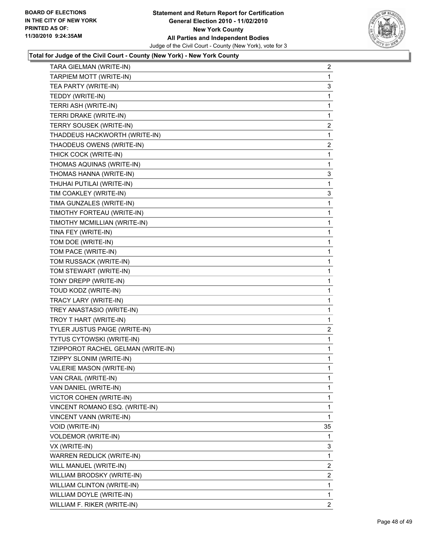

| TARA GIELMAN (WRITE-IN)            | 2              |
|------------------------------------|----------------|
| TARPIEM MOTT (WRITE-IN)            | 1              |
| TEA PARTY (WRITE-IN)               | 3              |
| TEDDY (WRITE-IN)                   | 1              |
| TERRI ASH (WRITE-IN)               | 1              |
| TERRI DRAKE (WRITE-IN)             | 1              |
| TERRY SOUSEK (WRITE-IN)            | $\overline{2}$ |
| THADDEUS HACKWORTH (WRITE-IN)      | 1              |
| THAODEUS OWENS (WRITE-IN)          | 2              |
| THICK COCK (WRITE-IN)              | 1              |
| THOMAS AQUINAS (WRITE-IN)          | 1              |
| THOMAS HANNA (WRITE-IN)            | 3              |
| THUHAI PUTILAI (WRITE-IN)          | 1              |
| TIM COAKLEY (WRITE-IN)             | 3              |
| TIMA GUNZALES (WRITE-IN)           | 1              |
| TIMOTHY FORTEAU (WRITE-IN)         | 1              |
| TIMOTHY MCMILLIAN (WRITE-IN)       | 1              |
| TINA FEY (WRITE-IN)                | 1              |
| TOM DOE (WRITE-IN)                 | 1              |
| TOM PACE (WRITE-IN)                | 1              |
| TOM RUSSACK (WRITE-IN)             | 1              |
| TOM STEWART (WRITE-IN)             | 1              |
| TONY DREPP (WRITE-IN)              | 1              |
| TOUD KODZ (WRITE-IN)               | 1              |
| TRACY LARY (WRITE-IN)              | 1              |
| TREY ANASTASIO (WRITE-IN)          | 1              |
| TROY T HART (WRITE-IN)             | 1              |
| TYLER JUSTUS PAIGE (WRITE-IN)      | $\overline{2}$ |
| <b>TYTUS CYTOWSKI (WRITE-IN)</b>   | 1              |
| TZIPPOROT RACHEL GELMAN (WRITE-IN) | 1              |
| TZIPPY SLONIM (WRITE-IN)           | 1              |
| VALERIE MASON (WRITE-IN)           | 1              |
| VAN CRAIL (WRITE-IN)               | 1              |
| VAN DANIEL (WRITE-IN)              | 1              |
| VICTOR COHEN (WRITE-IN)            | 1              |
| VINCENT ROMANO ESQ. (WRITE-IN)     | 1              |
| VINCENT VANN (WRITE-IN)            | 1              |
| VOID (WRITE-IN)                    | 35             |
| <b>VOLDEMOR (WRITE-IN)</b>         | 1              |
| VX (WRITE-IN)                      | 3              |
| WARREN REDLICK (WRITE-IN)          | 1              |
| WILL MANUEL (WRITE-IN)             | 2              |
| WILLIAM BRODSKY (WRITE-IN)         | 2              |
| WILLIAM CLINTON (WRITE-IN)         | 1              |
| WILLIAM DOYLE (WRITE-IN)           | 1              |
| WILLIAM F. RIKER (WRITE-IN)        | $\mathbf{2}$   |
|                                    |                |